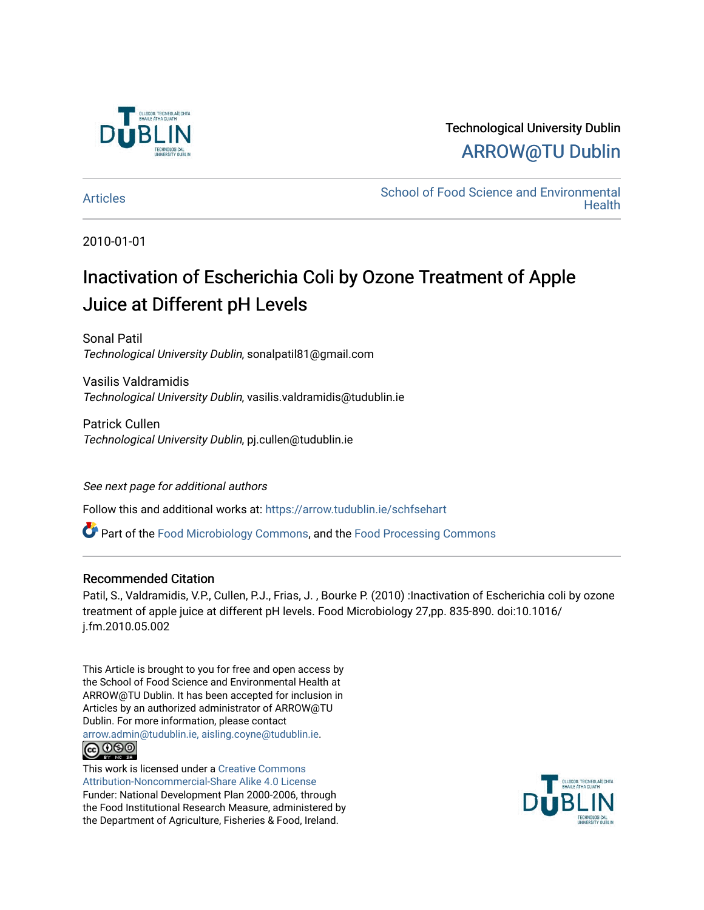

Technological University Dublin [ARROW@TU Dublin](https://arrow.tudublin.ie/) 

[Articles](https://arrow.tudublin.ie/schfsehart) **School of Food Science and Environmental Health** 

2010-01-01

# Inactivation of Escherichia Coli by Ozone Treatment of Apple Juice at Different pH Levels

Sonal Patil Technological University Dublin, sonalpatil81@gmail.com

Vasilis Valdramidis Technological University Dublin, vasilis.valdramidis@tudublin.ie

Patrick Cullen Technological University Dublin, pj.cullen@tudublin.ie

## See next page for additional authors

Follow this and additional works at: [https://arrow.tudublin.ie/schfsehart](https://arrow.tudublin.ie/schfsehart?utm_source=arrow.tudublin.ie%2Fschfsehart%2F65&utm_medium=PDF&utm_campaign=PDFCoverPages) 

Part of the [Food Microbiology Commons](http://network.bepress.com/hgg/discipline/86?utm_source=arrow.tudublin.ie%2Fschfsehart%2F65&utm_medium=PDF&utm_campaign=PDFCoverPages), and the [Food Processing Commons](http://network.bepress.com/hgg/discipline/85?utm_source=arrow.tudublin.ie%2Fschfsehart%2F65&utm_medium=PDF&utm_campaign=PDFCoverPages) 

## Recommended Citation

Patil, S., Valdramidis, V.P., Cullen, P.J., Frias, J. , Bourke P. (2010) :Inactivation of Escherichia coli by ozone treatment of apple juice at different pH levels. Food Microbiology 27,pp. 835-890. doi:10.1016/ j.fm.2010.05.002

This Article is brought to you for free and open access by the School of Food Science and Environmental Health at ARROW@TU Dublin. It has been accepted for inclusion in Articles by an authorized administrator of ARROW@TU Dublin. For more information, please contact [arrow.admin@tudublin.ie, aisling.coyne@tudublin.ie](mailto:arrow.admin@tudublin.ie,%20aisling.coyne@tudublin.ie).



This work is licensed under a [Creative Commons](http://creativecommons.org/licenses/by-nc-sa/4.0/) [Attribution-Noncommercial-Share Alike 4.0 License](http://creativecommons.org/licenses/by-nc-sa/4.0/) Funder: National Development Plan 2000-2006, through the Food Institutional Research Measure, administered by the Department of Agriculture, Fisheries & Food, Ireland.

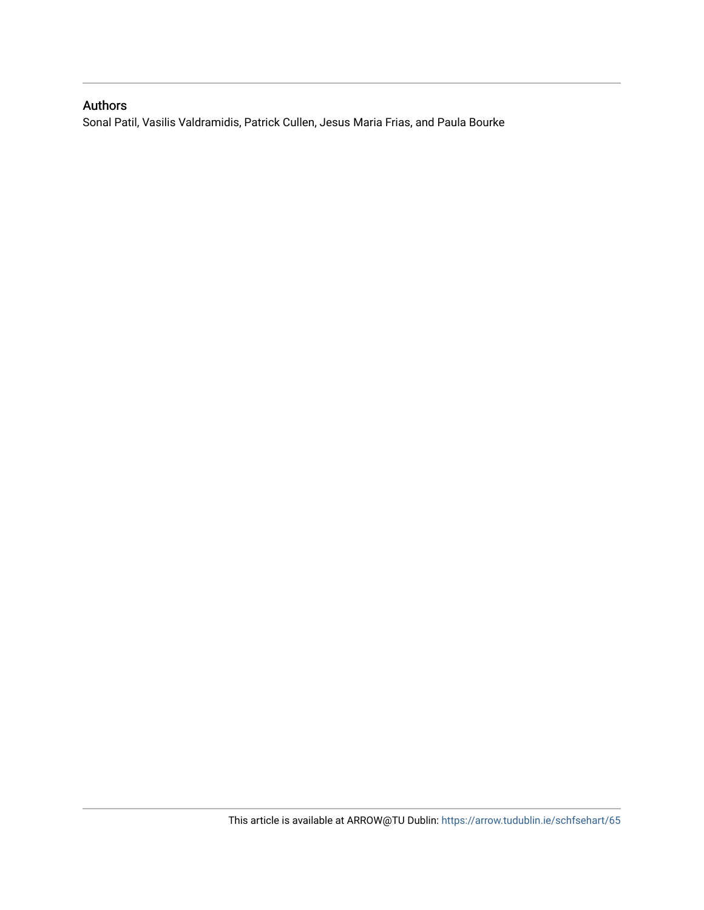## Authors

Sonal Patil, Vasilis Valdramidis, Patrick Cullen, Jesus Maria Frias, and Paula Bourke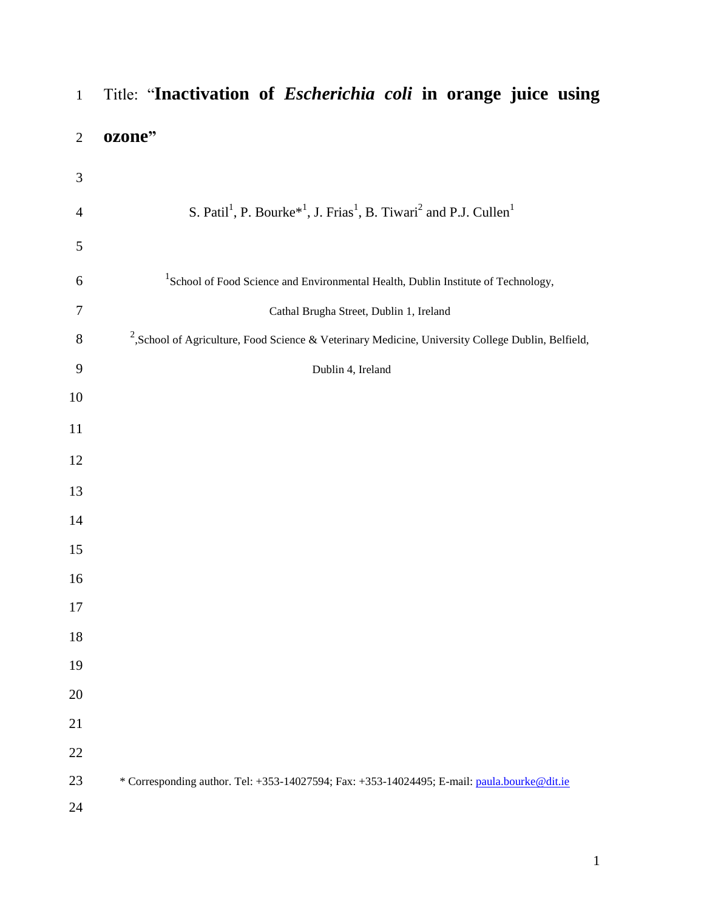| $\mathbf{1}$   | Title: "Inactivation of <i>Escherichia coli</i> in orange juice using                                                         |
|----------------|-------------------------------------------------------------------------------------------------------------------------------|
| $\overline{2}$ | ozone"                                                                                                                        |
| 3              |                                                                                                                               |
| $\overline{4}$ | S. Patil <sup>1</sup> , P. Bourke <sup>*1</sup> , J. Frias <sup>1</sup> , B. Tiwari <sup>2</sup> and P.J. Cullen <sup>1</sup> |
| 5              |                                                                                                                               |
| 6              | $1$ School of Food Science and Environmental Health, Dublin Institute of Technology,                                          |
| $\overline{7}$ | Cathal Brugha Street, Dublin 1, Ireland                                                                                       |
| 8              | <sup>2</sup> , School of Agriculture, Food Science & Veterinary Medicine, University College Dublin, Belfield,                |
| 9              | Dublin 4, Ireland                                                                                                             |
| 10             |                                                                                                                               |
| 11             |                                                                                                                               |
| 12             |                                                                                                                               |
| 13             |                                                                                                                               |
| 14             |                                                                                                                               |
| 15             |                                                                                                                               |
| 16             |                                                                                                                               |
| 17             |                                                                                                                               |
| 18             |                                                                                                                               |
| 19             |                                                                                                                               |
| 20             |                                                                                                                               |
| 21             |                                                                                                                               |
| 22             |                                                                                                                               |
| 23             | * Corresponding author. Tel: +353-14027594; Fax: +353-14024495; E-mail: paula.bourke@dit.ie                                   |
| 24             |                                                                                                                               |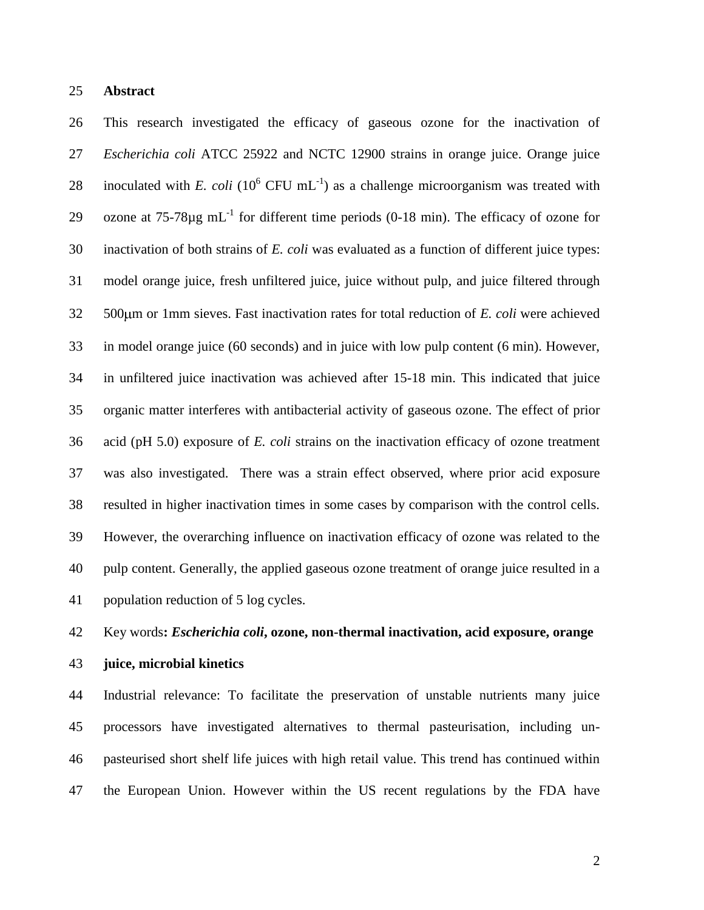## **Abstract**

 This research investigated the efficacy of gaseous ozone for the inactivation of *Escherichia coli* ATCC 25922 and NCTC 12900 strains in orange juice. Orange juice 28 inoculated with *E. coli* ( $10^6$  CFU mL<sup>-1</sup>) as a challenge microorganism was treated with 29 ozone at  $75-78\mu g$  mL<sup>-1</sup> for different time periods (0-18 min). The efficacy of ozone for inactivation of both strains of *E. coli* was evaluated as a function of different juice types: model orange juice, fresh unfiltered juice, juice without pulp, and juice filtered through 32 500 km or 1mm sieves. Fast inactivation rates for total reduction of *E. coli* were achieved in model orange juice (60 seconds) and in juice with low pulp content (6 min). However, in unfiltered juice inactivation was achieved after 15-18 min. This indicated that juice organic matter interferes with antibacterial activity of gaseous ozone. The effect of prior acid (pH 5.0) exposure of *E. coli* strains on the inactivation efficacy of ozone treatment was also investigated. There was a strain effect observed, where prior acid exposure resulted in higher inactivation times in some cases by comparison with the control cells. However, the overarching influence on inactivation efficacy of ozone was related to the pulp content. Generally, the applied gaseous ozone treatment of orange juice resulted in a population reduction of 5 log cycles.

## Key words**:** *Escherichia coli***, ozone, non-thermal inactivation, acid exposure, orange**

**juice, microbial kinetics**

 Industrial relevance: To facilitate the preservation of unstable nutrients many juice processors have investigated alternatives to thermal pasteurisation, including un- pasteurised short shelf life juices with high retail value. This trend has continued within the European Union. However within the US recent regulations by the FDA have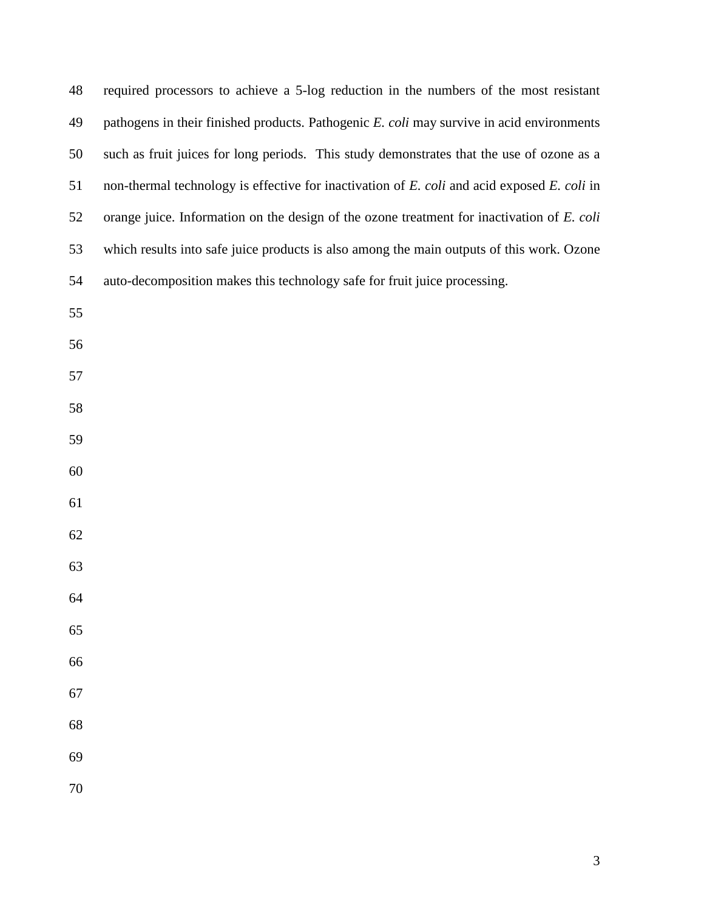| 48 | required processors to achieve a 5-log reduction in the numbers of the most resistant       |
|----|---------------------------------------------------------------------------------------------|
| 49 | pathogens in their finished products. Pathogenic E. coli may survive in acid environments   |
| 50 | such as fruit juices for long periods. This study demonstrates that the use of ozone as a   |
| 51 | non-thermal technology is effective for inactivation of E. coli and acid exposed E. coli in |
| 52 | orange juice. Information on the design of the ozone treatment for inactivation of E. coli  |
| 53 | which results into safe juice products is also among the main outputs of this work. Ozone   |
| 54 | auto-decomposition makes this technology safe for fruit juice processing.                   |
| 55 |                                                                                             |
| 56 |                                                                                             |
| 57 |                                                                                             |
| 58 |                                                                                             |
| 59 |                                                                                             |
| 60 |                                                                                             |
| 61 |                                                                                             |
| 62 |                                                                                             |
| 63 |                                                                                             |
| 64 |                                                                                             |
| 65 |                                                                                             |
| 66 |                                                                                             |
| 67 |                                                                                             |
| 68 |                                                                                             |
| 69 |                                                                                             |
| 70 |                                                                                             |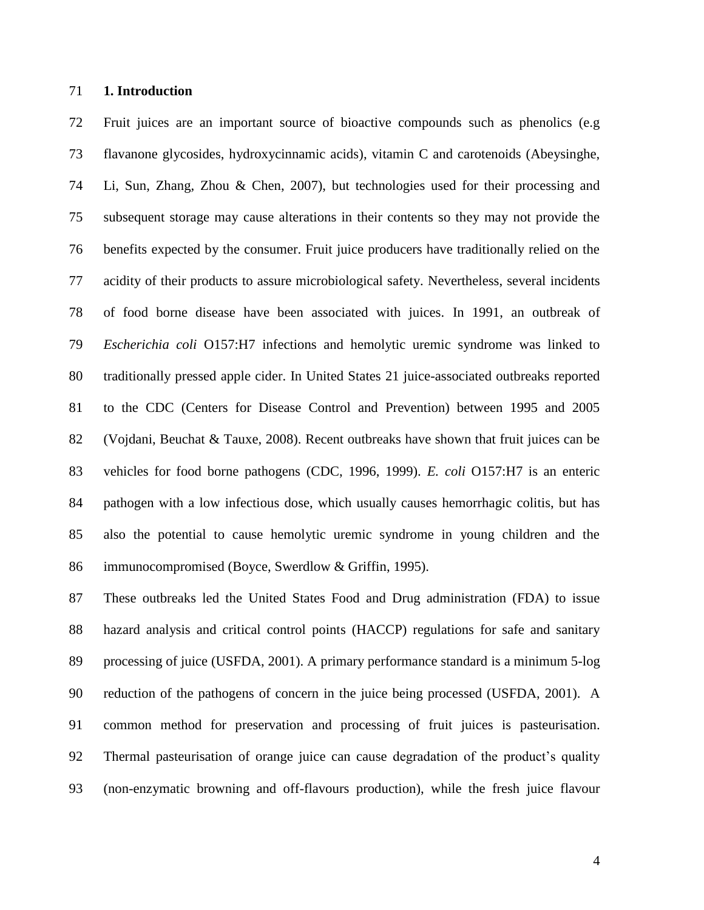## **1. Introduction**

 Fruit juices are an important source of bioactive compounds such as phenolics (e.g flavanone glycosides, hydroxycinnamic acids), vitamin C and carotenoids (Abeysinghe, Li, Sun, Zhang, Zhou & Chen, 2007), but technologies used for their processing and subsequent storage may cause alterations in their contents so they may not provide the benefits expected by the consumer. Fruit juice producers have traditionally relied on the acidity of their products to assure microbiological safety. Nevertheless, several incidents of food borne disease have been associated with juices. In 1991, an outbreak of *Escherichia coli* O157:H7 infections and hemolytic uremic syndrome was linked to traditionally pressed apple cider. In United States 21 juice-associated outbreaks reported to the CDC (Centers for Disease Control and Prevention) between 1995 and 2005 (Vojdani, Beuchat & Tauxe, 2008). Recent outbreaks have shown that fruit juices can be vehicles for food borne pathogens (CDC, 1996, 1999). *E. coli* O157:H7 is an enteric pathogen with a low infectious dose, which usually causes hemorrhagic colitis, but has also the potential to cause hemolytic uremic syndrome in young children and the immunocompromised (Boyce, Swerdlow & Griffin, 1995).

 These outbreaks led the United States Food and Drug administration (FDA) to issue hazard analysis and critical control points (HACCP) regulations for safe and sanitary processing of juice (USFDA, 2001). A primary performance standard is a minimum 5-log reduction of the pathogens of concern in the juice being processed (USFDA, 2001). A common method for preservation and processing of fruit juices is pasteurisation. Thermal pasteurisation of orange juice can cause degradation of the product's quality (non-enzymatic browning and off-flavours production), while the fresh juice flavour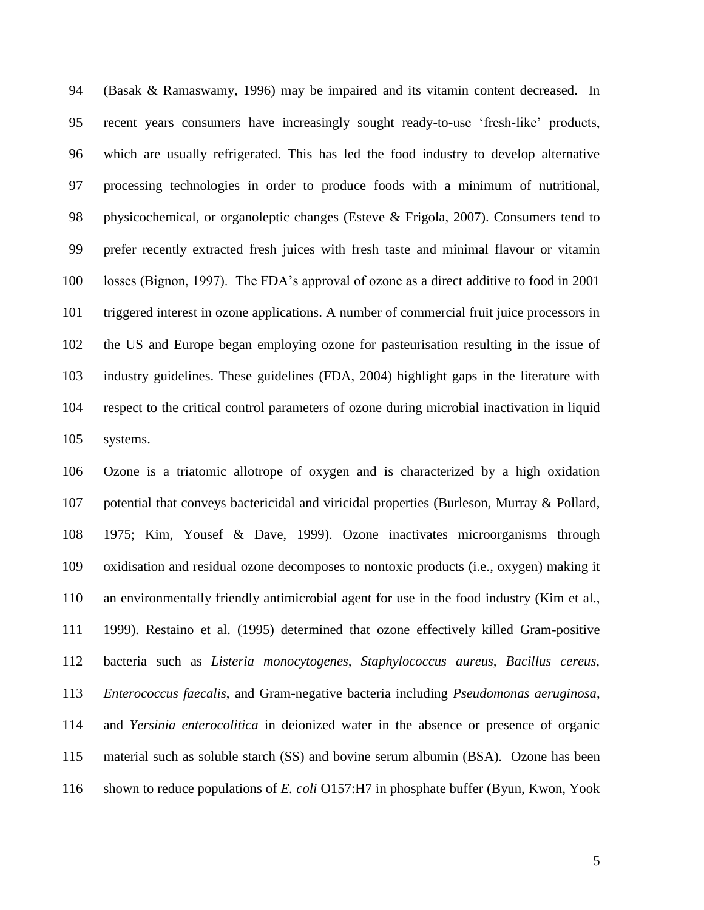(Basak & Ramaswamy, 1996) may be impaired and its vitamin content decreased. In recent years consumers have increasingly sought ready-to-use 'fresh-like' products, which are usually refrigerated. This has led the food industry to develop alternative processing technologies in order to produce foods with a minimum of nutritional, physicochemical, or organoleptic changes (Esteve & Frigola, 2007). Consumers tend to prefer recently extracted fresh juices with fresh taste and minimal flavour or vitamin losses (Bignon, 1997). The FDA's approval of ozone as a direct additive to food in 2001 triggered interest in ozone applications. A number of commercial fruit juice processors in the US and Europe began employing ozone for pasteurisation resulting in the issue of industry guidelines. These guidelines (FDA, 2004) highlight gaps in the literature with respect to the critical control parameters of ozone during microbial inactivation in liquid systems.

 Ozone is a triatomic allotrope of oxygen and is characterized by a high oxidation potential that conveys bactericidal and viricidal properties (Burleson, Murray & Pollard, 1975; Kim, Yousef & Dave, 1999). Ozone inactivates microorganisms through oxidisation and residual ozone decomposes to nontoxic products (i.e., oxygen) making it an environmentally friendly antimicrobial agent for use in the food industry (Kim et al., 1999). Restaino et al. (1995) determined that ozone effectively killed Gram-positive bacteria such as *Listeria monocytogenes, Staphylococcus aureus, Bacillus cereus, Enterococcus faecalis*, and Gram-negative bacteria including *Pseudomonas aeruginosa*, and *Yersinia enterocolitica* in deionized water in the absence or presence of organic material such as soluble starch (SS) and bovine serum albumin (BSA)*.* Ozone has been shown to reduce populations of *E. coli* O157:H7 in phosphate buffer (Byun, Kwon, Yook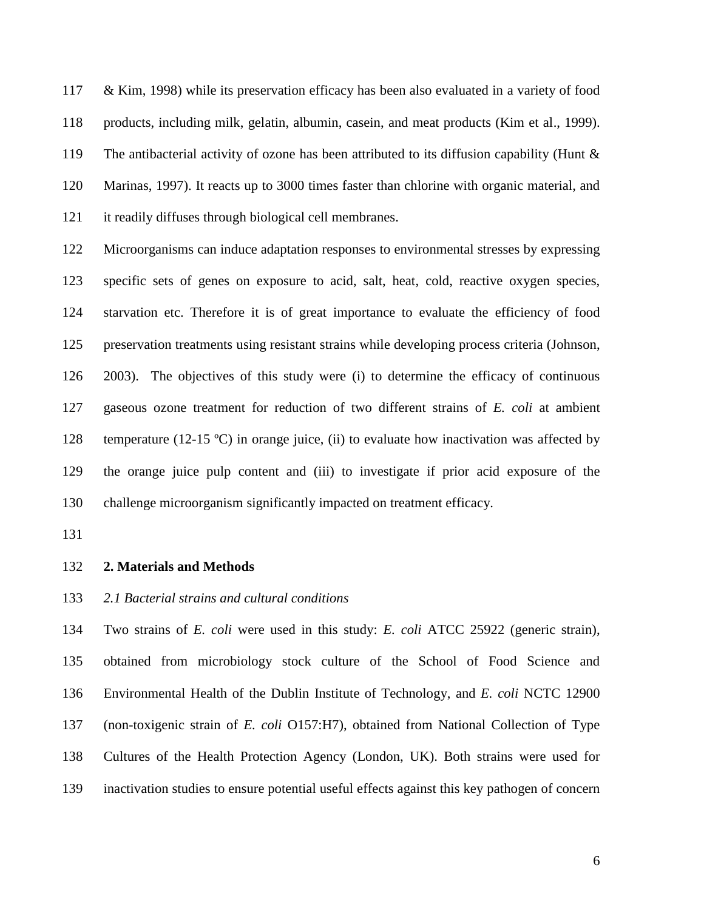& Kim, 1998) while its preservation efficacy has been also evaluated in a variety of food products, including milk, gelatin, albumin, casein, and meat products (Kim et al., 1999). The antibacterial activity of ozone has been attributed to its diffusion capability (Hunt & Marinas, 1997). It reacts up to 3000 times faster than chlorine with organic material, and it readily diffuses through biological cell membranes.

- Microorganisms can induce adaptation responses to environmental stresses by expressing specific sets of genes on exposure to acid, salt, heat, cold, reactive oxygen species, starvation etc. Therefore it is of great importance to evaluate the efficiency of food preservation treatments using resistant strains while developing process criteria (Johnson, 2003). The objectives of this study were (i) to determine the efficacy of continuous gaseous ozone treatment for reduction of two different strains of *E. coli* at ambient 128 temperature (12-15 °C) in orange juice, (ii) to evaluate how inactivation was affected by the orange juice pulp content and (iii) to investigate if prior acid exposure of the challenge microorganism significantly impacted on treatment efficacy.
- 

#### **2. Materials and Methods**

#### *2.1 Bacterial strains and cultural conditions*

 Two strains of *E. coli* were used in this study: *E. coli* ATCC 25922 (generic strain), obtained from microbiology stock culture of the School of Food Science and Environmental Health of the Dublin Institute of Technology, and *E. coli* NCTC 12900 (non-toxigenic strain of *E. coli* O157:H7), obtained from National Collection of Type Cultures of the Health Protection Agency (London, UK). Both strains were used for inactivation studies to ensure potential useful effects against this key pathogen of concern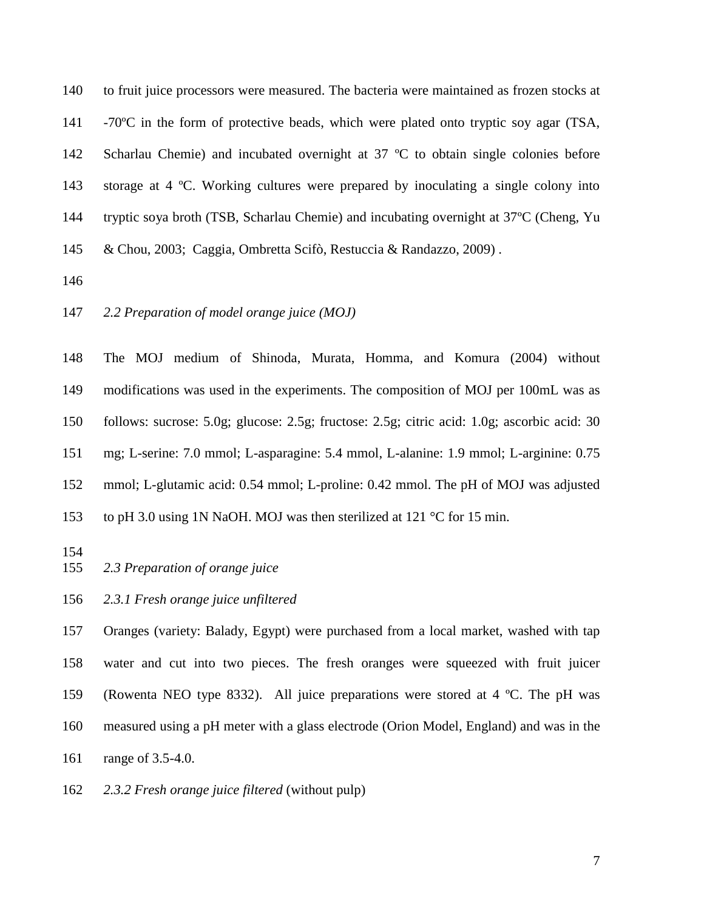140 to fruit juice processors were measured. The bacteria were maintained as frozen stocks at -70ºC in the form of protective beads, which were plated onto tryptic soy agar (TSA, Scharlau Chemie) and incubated overnight at 37 ºC to obtain single colonies before storage at 4 ºC. Working cultures were prepared by inoculating a single colony into tryptic soya broth (TSB, Scharlau Chemie) and incubating overnight at 37ºC (Cheng, Yu & Chou, 2003; Caggia, Ombretta Scifò, Restuccia & Randazzo, 2009) .

*2.2 Preparation of model orange juice (MOJ)* 

 The MOJ medium of Shinoda, Murata, Homma, and Komura (2004) without modifications was used in the experiments. The composition of MOJ per 100mL was as follows: sucrose: 5.0g; glucose: 2.5g; fructose: 2.5g; citric acid: 1.0g; ascorbic acid: 30 mg; L-serine: 7.0 mmol; L-asparagine: 5.4 mmol, L-alanine: 1.9 mmol; L-arginine: 0.75 mmol; L-glutamic acid: 0.54 mmol; L-proline: 0.42 mmol. The pH of MOJ was adjusted to pH 3.0 using 1N NaOH. MOJ was then sterilized at 121 °C for 15 min.

*2.3 Preparation of orange juice*

*2.3.1 Fresh orange juice unfiltered*

 Oranges (variety: Balady, Egypt) were purchased from a local market, washed with tap water and cut into two pieces. The fresh oranges were squeezed with fruit juicer (Rowenta NEO type 8332). All juice preparations were stored at 4 ºC. The pH was measured using a pH meter with a glass electrode (Orion Model, England) and was in the range of 3.5-4.0.

*2.3.2 Fresh orange juice filtered* (without pulp)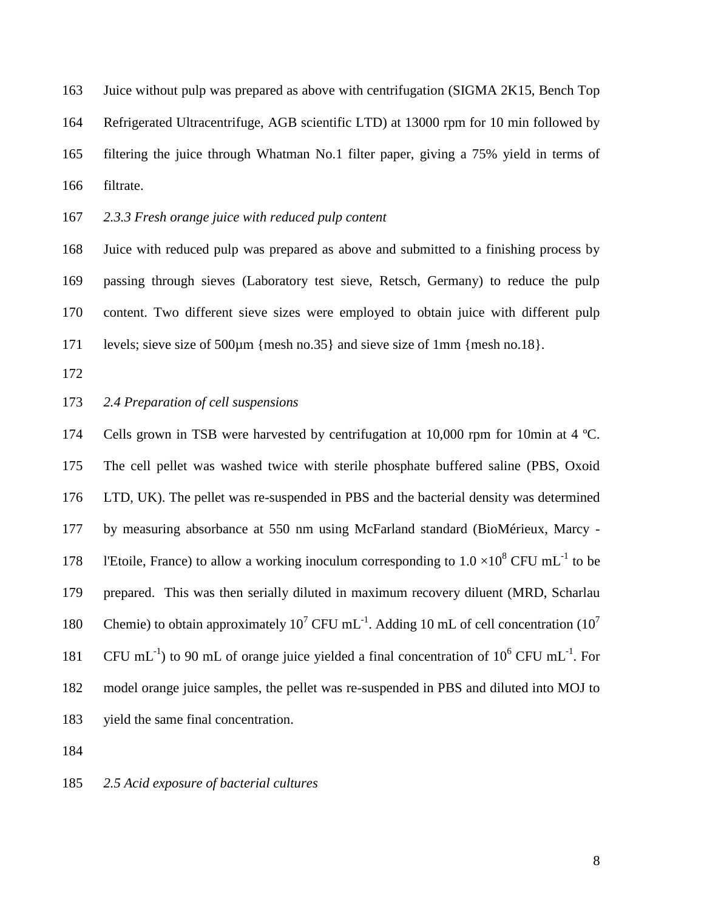Juice without pulp was prepared as above with centrifugation (SIGMA 2K15, Bench Top Refrigerated Ultracentrifuge, AGB scientific LTD) at 13000 rpm for 10 min followed by filtering the juice through Whatman No.1 filter paper, giving a 75% yield in terms of filtrate.

*2.3.3 Fresh orange juice with reduced pulp content*

 Juice with reduced pulp was prepared as above and submitted to a finishing process by passing through sieves (Laboratory test sieve, Retsch, Germany) to reduce the pulp content. Two different sieve sizes were employed to obtain juice with different pulp levels; sieve size of 500µm {mesh no.35} and sieve size of 1mm {mesh no.18}.

#### *2.4 Preparation of cell suspensions*

 Cells grown in TSB were harvested by centrifugation at 10,000 rpm for 10min at 4 ºC. The cell pellet was washed twice with sterile phosphate buffered saline (PBS, Oxoid LTD, UK). The pellet was re-suspended in PBS and the bacterial density was determined by measuring absorbance at 550 nm using McFarland standard (BioMérieux, Marcy - 178 l'Etoile, France) to allow a working inoculum corresponding to  $1.0 \times 10^8$  CFU mL<sup>-1</sup> to be prepared. This was then serially diluted in maximum recovery diluent (MRD, Scharlau Chemie) to obtain approximately 10<sup>7</sup> CFU mL<sup>-1</sup>. Adding 10 mL of cell concentration (10<sup>7</sup>) 181 CFU mL<sup>-1</sup>) to 90 mL of orange juice yielded a final concentration of  $10^6$  CFU mL<sup>-1</sup>. For model orange juice samples, the pellet was re-suspended in PBS and diluted into MOJ to yield the same final concentration.

#### *2.5 Acid exposure of bacterial cultures*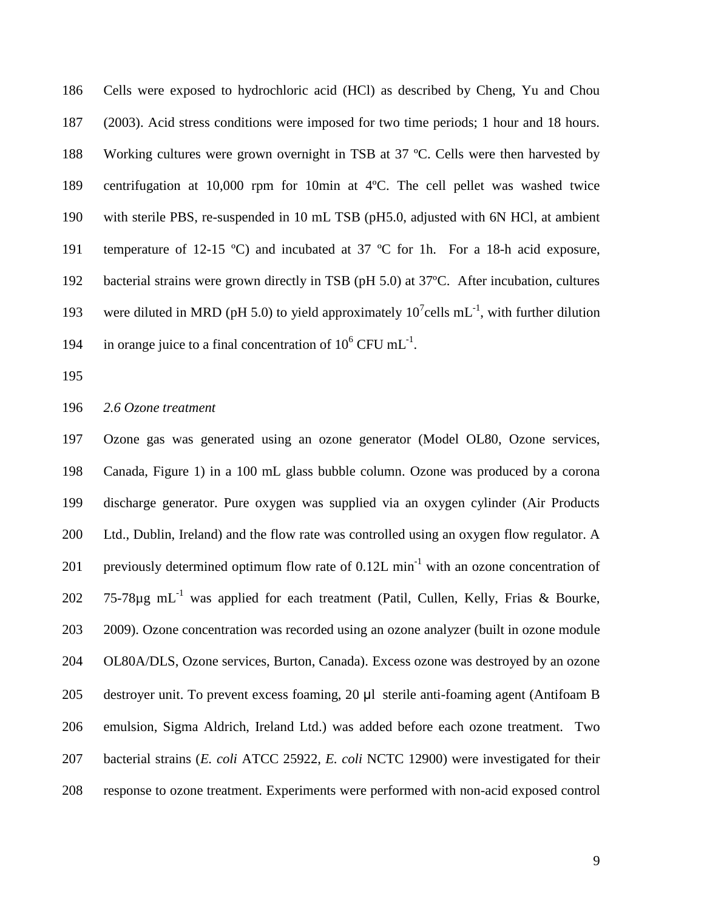Cells were exposed to hydrochloric acid (HCl) as described by Cheng, Yu and Chou (2003). Acid stress conditions were imposed for two time periods; 1 hour and 18 hours. Working cultures were grown overnight in TSB at 37 ºC. Cells were then harvested by centrifugation at 10,000 rpm for 10min at 4ºC. The cell pellet was washed twice with sterile PBS, re-suspended in 10 mL TSB (pH5.0, adjusted with 6N HCl, at ambient temperature of 12-15 ºC) and incubated at 37 ºC for 1h. For a 18-h acid exposure, bacterial strains were grown directly in TSB (pH 5.0) at 37ºC. After incubation, cultures 193 were diluted in MRD (pH 5.0) to yield approximately  $10^7$ cells mL<sup>-1</sup>, with further dilution 194 in orange juice to a final concentration of  $10^6$  CFU mL<sup>-1</sup>.

*2.6 Ozone treatment*

 Ozone gas was generated using an ozone generator (Model OL80, Ozone services, Canada, Figure 1) in a 100 mL glass bubble column. Ozone was produced by a corona discharge generator. Pure oxygen was supplied via an oxygen cylinder (Air Products Ltd., Dublin, Ireland) and the flow rate was controlled using an oxygen flow regulator. A 201 previously determined optimum flow rate of  $0.12L$  min<sup>-1</sup> with an ozone concentration of 202 75-78 $\mu$ g mL<sup>-1</sup> was applied for each treatment (Patil, Cullen, Kelly, Frias & Bourke, 2009). Ozone concentration was recorded using an ozone analyzer (built in ozone module OL80A/DLS, Ozone services, Burton, Canada). Excess ozone was destroyed by an ozone destroyer unit. To prevent excess foaming, 20 μl sterile anti-foaming agent (Antifoam B emulsion, Sigma Aldrich, Ireland Ltd.) was added before each ozone treatment. Two bacterial strains (*E. coli* ATCC 25922, *E. coli* NCTC 12900) were investigated for their response to ozone treatment. Experiments were performed with non-acid exposed control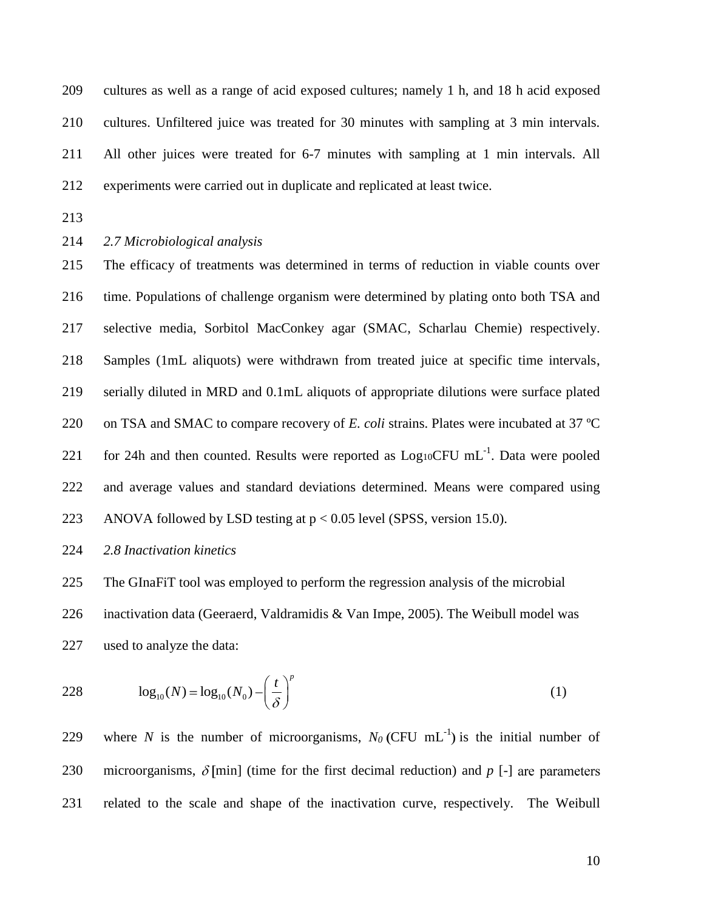cultures as well as a range of acid exposed cultures; namely 1 h, and 18 h acid exposed cultures. Unfiltered juice was treated for 30 minutes with sampling at 3 min intervals. All other juices were treated for 6-7 minutes with sampling at 1 min intervals. All experiments were carried out in duplicate and replicated at least twice.

## *2.7 Microbiological analysis*

 The efficacy of treatments was determined in terms of reduction in viable counts over time. Populations of challenge organism were determined by plating onto both TSA and selective media, Sorbitol MacConkey agar (SMAC, Scharlau Chemie) respectively. Samples (1mL aliquots) were withdrawn from treated juice at specific time intervals, serially diluted in MRD and 0.1mL aliquots of appropriate dilutions were surface plated 220 on TSA and SMAC to compare recovery of *E. coli* strains. Plates were incubated at 37 °C 221 for 24h and then counted. Results were reported as  $LogioCFU mL^{-1}$ . Data were pooled and average values and standard deviations determined. Means were compared using 223 ANOVA followed by LSD testing at  $p < 0.05$  level (SPSS, version 15.0).

## *2.8 Inactivation kinetics*

The GInaFiT tool was employed to perform the regression analysis of the microbial

inactivation data (Geeraerd, Valdramidis & Van Impe, 2005). The Weibull model was

used to analyze the data:

228 
$$
\log_{10}(N) = \log_{10}(N_0) - \left(\frac{t}{\delta}\right)^p
$$
 (1)

229 where *N* is the number of microorganisms,  $N_0$  (CFU mL<sup>-1</sup>) is the initial number of 230 microorganisms,  $\delta$ [min] (time for the first decimal reduction) and  $p$  [-] are parameters related to the scale and shape of the inactivation curve, respectively. The Weibull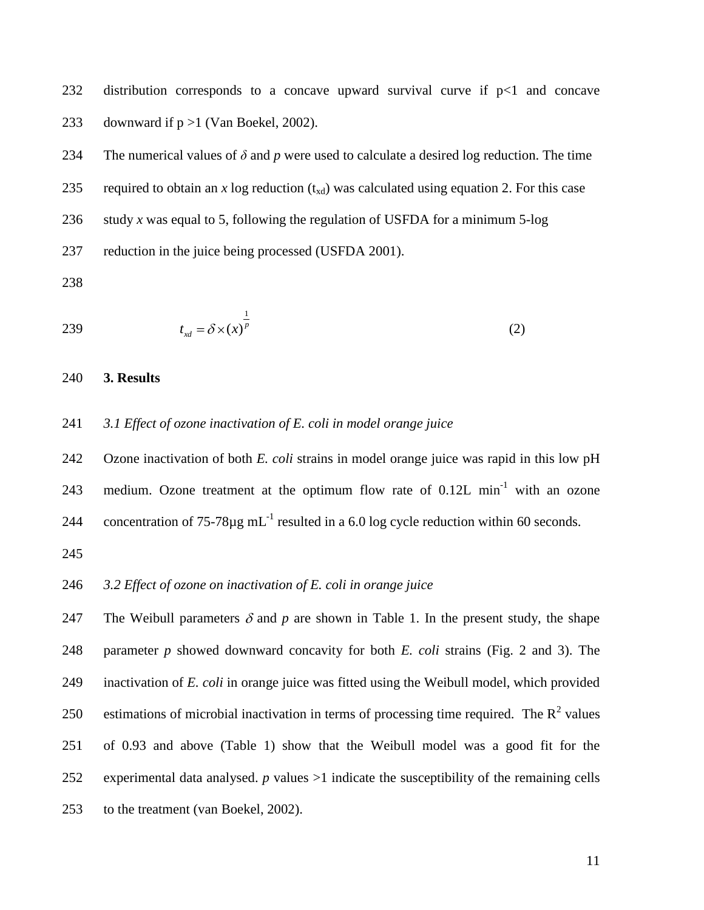232 distribution corresponds to a concave upward survival curve if  $p<1$  and concave downward if p >1 (Van Boekel, 2002).

234 The numerical values of  $\delta$  and  $p$  were used to calculate a desired log reduction. The time 235 required to obtain an *x* log reduction  $(t_{xd})$  was calculated using equation 2. For this case study *x* was equal to 5, following the regulation of USFDA for a minimum 5-log reduction in the juice being processed (USFDA 2001).

$$
t_{xd} = \delta \times (x)^{\frac{1}{p}}
$$
 (2)

#### **3. Results**

## *3.1 Effect of ozone inactivation of E. coli in model orange juice*

 Ozone inactivation of both *E. coli* strains in model orange juice was rapid in this low pH 243 medium. Ozone treatment at the optimum flow rate of  $0.12L$  min<sup>-1</sup> with an ozone 244 concentration of 75-78 $\mu$ g mL<sup>-1</sup> resulted in a 6.0 log cycle reduction within 60 seconds.

## *3.2 Effect of ozone on inactivation of E. coli in orange juice*

247 The Weibull parameters  $\delta$  and  $p$  are shown in Table 1. In the present study, the shape parameter *p* showed downward concavity for both *E. coli* strains (Fig. 2 and 3). The inactivation of *E. coli* in orange juice was fitted using the Weibull model, which provided 250 estimations of microbial inactivation in terms of processing time required. The  $R^2$  values of 0.93 and above (Table 1) show that the Weibull model was a good fit for the experimental data analysed. *p* values >1 indicate the susceptibility of the remaining cells to the treatment (van Boekel, 2002).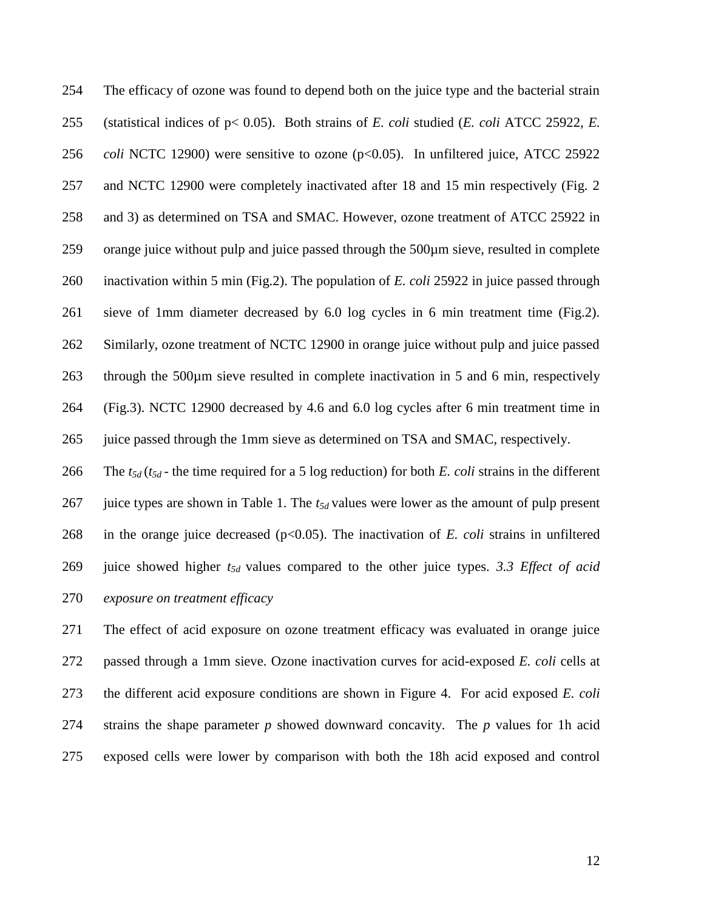The efficacy of ozone was found to depend both on the juice type and the bacterial strain (statistical indices of p< 0.05). Both strains of *E. coli* studied (*E. coli* ATCC 25922, *E. coli* NCTC 12900) were sensitive to ozone (p<0.05). In unfiltered juice, ATCC 25922 and NCTC 12900 were completely inactivated after 18 and 15 min respectively (Fig. 2 and 3) as determined on TSA and SMAC. However, ozone treatment of ATCC 25922 in orange juice without pulp and juice passed through the 500µm sieve, resulted in complete inactivation within 5 min (Fig.2). The population of *E. coli* 25922 in juice passed through sieve of 1mm diameter decreased by 6.0 log cycles in 6 min treatment time (Fig.2). Similarly, ozone treatment of NCTC 12900 in orange juice without pulp and juice passed through the 500µm sieve resulted in complete inactivation in 5 and 6 min, respectively (Fig.3). NCTC 12900 decreased by 4.6 and 6.0 log cycles after 6 min treatment time in juice passed through the 1mm sieve as determined on TSA and SMAC, respectively.

 The *t5d* (*t5d* - the time required for a 5 log reduction) for both *E. coli* strains in the different juice types are shown in Table 1. The *t5d* values were lower as the amount of pulp present in the orange juice decreased (p<0.05). The inactivation of *E. coli* strains in unfiltered juice showed higher *t5d* values compared to the other juice types. *3.3 Effect of acid exposure on treatment efficacy*

 The effect of acid exposure on ozone treatment efficacy was evaluated in orange juice passed through a 1mm sieve. Ozone inactivation curves for acid-exposed *E. coli* cells at the different acid exposure conditions are shown in Figure 4. For acid exposed *E. coli* strains the shape parameter *p* showed downward concavity. The *p* values for 1h acid exposed cells were lower by comparison with both the 18h acid exposed and control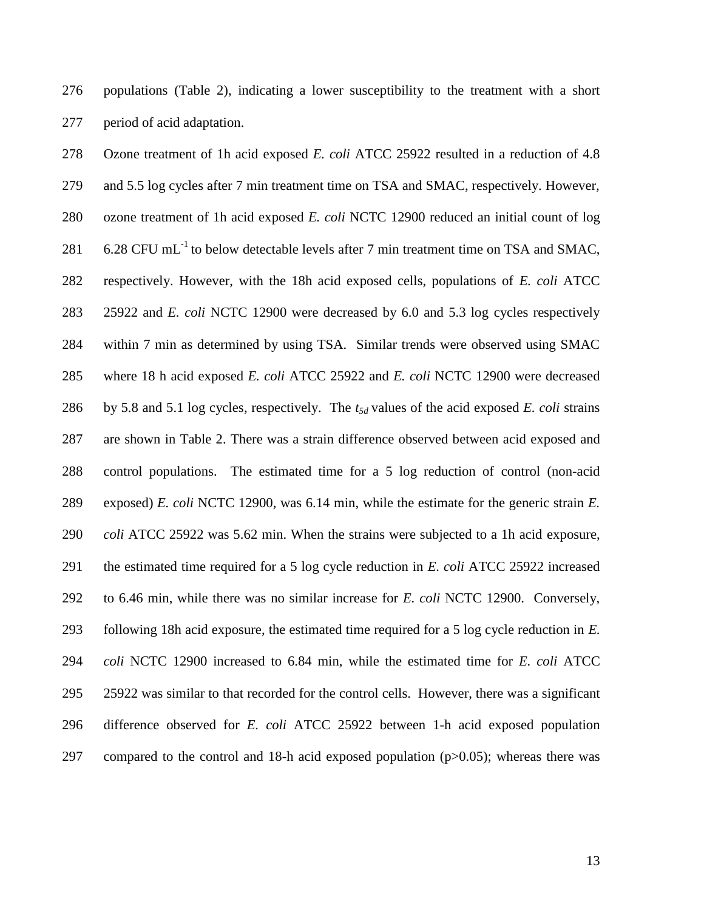populations (Table 2), indicating a lower susceptibility to the treatment with a short period of acid adaptation.

 Ozone treatment of 1h acid exposed *E. coli* ATCC 25922 resulted in a reduction of 4.8 and 5.5 log cycles after 7 min treatment time on TSA and SMAC, respectively. However, ozone treatment of 1h acid exposed *E. coli* NCTC 12900 reduced an initial count of log 281 6.28 CFU mL<sup>-1</sup> to below detectable levels after 7 min treatment time on TSA and SMAC, respectively. However, with the 18h acid exposed cells, populations of *E. coli* ATCC 25922 and *E. coli* NCTC 12900 were decreased by 6.0 and 5.3 log cycles respectively within 7 min as determined by using TSA. Similar trends were observed using SMAC where 18 h acid exposed *E. coli* ATCC 25922 and *E. coli* NCTC 12900 were decreased by 5.8 and 5.1 log cycles, respectively. The *t5d* values of the acid exposed *E. coli* strains are shown in Table 2. There was a strain difference observed between acid exposed and control populations. The estimated time for a 5 log reduction of control (non-acid exposed) *E. coli* NCTC 12900, was 6.14 min, while the estimate for the generic strain *E. coli* ATCC 25922 was 5.62 min. When the strains were subjected to a 1h acid exposure, the estimated time required for a 5 log cycle reduction in *E. coli* ATCC 25922 increased to 6.46 min, while there was no similar increase for *E. coli* NCTC 12900. Conversely, following 18h acid exposure, the estimated time required for a 5 log cycle reduction in *E. coli* NCTC 12900 increased to 6.84 min, while the estimated time for *E. coli* ATCC 25922 was similar to that recorded for the control cells. However, there was a significant difference observed for *E. coli* ATCC 25922 between 1-h acid exposed population 297 compared to the control and 18-h acid exposed population  $(p>0.05)$ ; whereas there was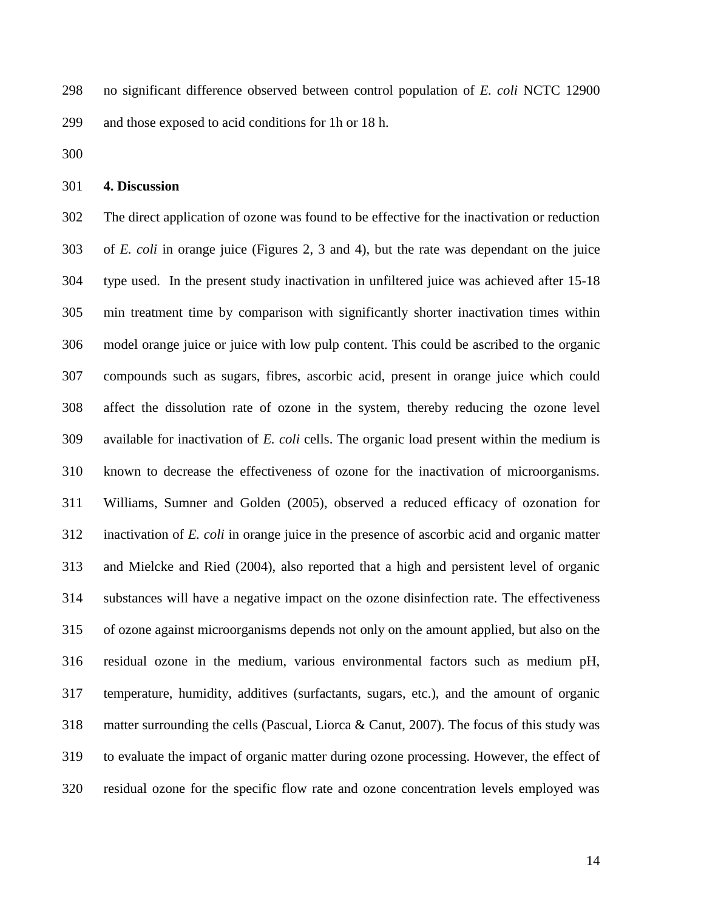no significant difference observed between control population of *E. coli* NCTC 12900 and those exposed to acid conditions for 1h or 18 h.

#### **4. Discussion**

 The direct application of ozone was found to be effective for the inactivation or reduction of *E. coli* in orange juice (Figures 2, 3 and 4), but the rate was dependant on the juice type used. In the present study inactivation in unfiltered juice was achieved after 15-18 min treatment time by comparison with significantly shorter inactivation times within model orange juice or juice with low pulp content. This could be ascribed to the organic compounds such as sugars, fibres, ascorbic acid, present in orange juice which could affect the dissolution rate of ozone in the system, thereby reducing the ozone level available for inactivation of *E. coli* cells. The organic load present within the medium is known to decrease the effectiveness of ozone for the inactivation of microorganisms. Williams, Sumner and Golden (2005), observed a reduced efficacy of ozonation for inactivation of *E. coli* in orange juice in the presence of ascorbic acid and organic matter and Mielcke and Ried (2004), also reported that a high and persistent level of organic substances will have a negative impact on the ozone disinfection rate. The effectiveness of ozone against microorganisms depends not only on the amount applied, but also on the residual ozone in the medium, various environmental factors such as medium pH, temperature, humidity, additives (surfactants, sugars, etc.), and the amount of organic matter surrounding the cells (Pascual, Liorca & Canut, 2007). The focus of this study was to evaluate the impact of organic matter during ozone processing. However, the effect of residual ozone for the specific flow rate and ozone concentration levels employed was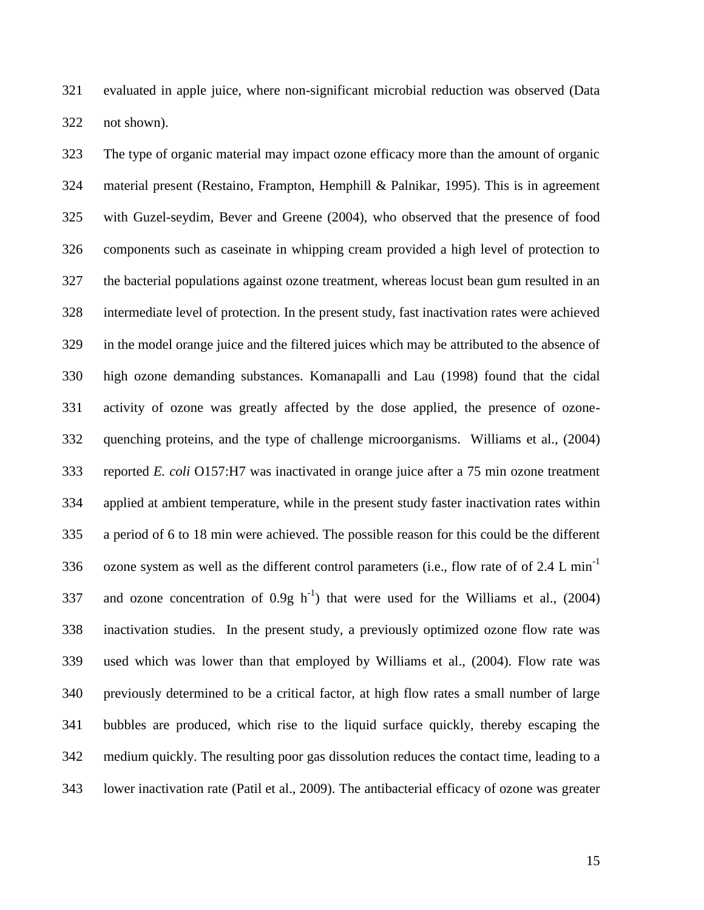evaluated in apple juice, where non-significant microbial reduction was observed (Data not shown).

 The type of organic material may impact ozone efficacy more than the amount of organic material present (Restaino, Frampton, Hemphill & Palnikar, 1995). This is in agreement with Guzel-seydim, Bever and Greene (2004), who observed that the presence of food components such as caseinate in whipping cream provided a high level of protection to the bacterial populations against ozone treatment, whereas locust bean gum resulted in an intermediate level of protection. In the present study, fast inactivation rates were achieved in the model orange juice and the filtered juices which may be attributed to the absence of high ozone demanding substances. Komanapalli and Lau (1998) found that the cidal activity of ozone was greatly affected by the dose applied, the presence of ozone- quenching proteins, and the type of challenge microorganisms. Williams et al., (2004) reported *E. coli* O157:H7 was inactivated in orange juice after a 75 min ozone treatment applied at ambient temperature, while in the present study faster inactivation rates within a period of 6 to 18 min were achieved. The possible reason for this could be the different ozone system as well as the different control parameters (i.e., flow rate of of 2.4 L min-1 337 and ozone concentration of 0.9g  $h^{-1}$ ) that were used for the Williams et al., (2004) inactivation studies. In the present study, a previously optimized ozone flow rate was used which was lower than that employed by Williams et al., (2004). Flow rate was previously determined to be a critical factor, at high flow rates a small number of large bubbles are produced, which rise to the liquid surface quickly, thereby escaping the medium quickly. The resulting poor gas dissolution reduces the contact time, leading to a lower inactivation rate (Patil et al., 2009). The antibacterial efficacy of ozone was greater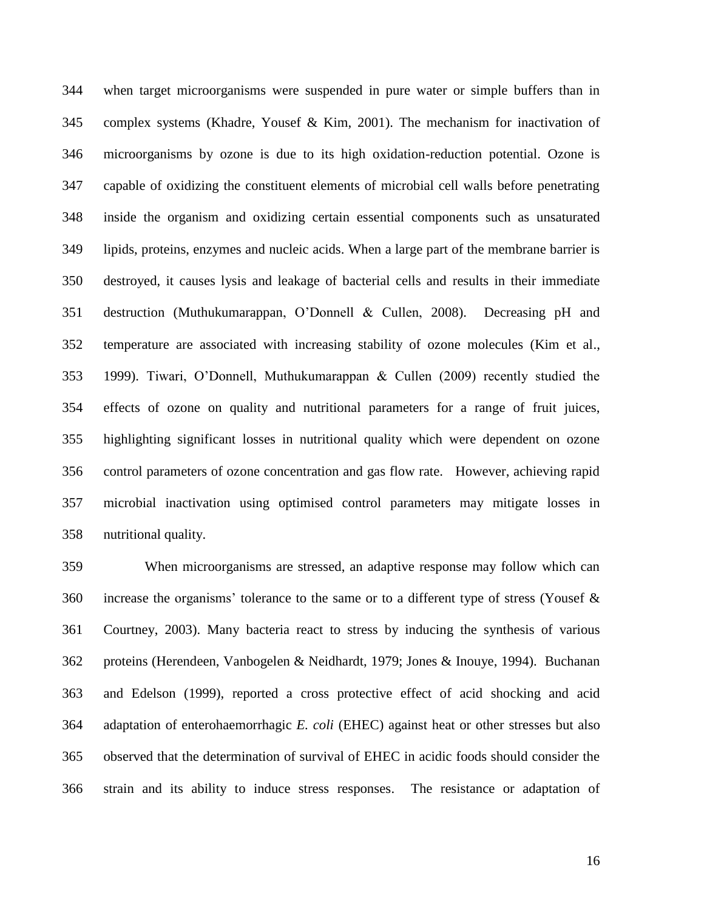when target microorganisms were suspended in pure water or simple buffers than in complex systems (Khadre, Yousef & Kim, 2001). The mechanism for inactivation of microorganisms by ozone is due to its high oxidation-reduction potential. Ozone is capable of oxidizing the constituent elements of microbial cell walls before penetrating inside the organism and oxidizing certain essential components such as unsaturated lipids, proteins, enzymes and nucleic acids. When a large part of the membrane barrier is destroyed, it causes lysis and leakage of bacterial cells and results in their immediate destruction (Muthukumarappan, O'Donnell & Cullen, 2008). Decreasing pH and temperature are associated with increasing stability of ozone molecules (Kim et al., 1999). Tiwari, O'Donnell, Muthukumarappan & Cullen (2009) recently studied the effects of ozone on quality and nutritional parameters for a range of fruit juices, highlighting significant losses in nutritional quality which were dependent on ozone control parameters of ozone concentration and gas flow rate. However, achieving rapid microbial inactivation using optimised control parameters may mitigate losses in nutritional quality.

 When microorganisms are stressed, an adaptive response may follow which can increase the organisms' tolerance to the same or to a different type of stress (Yousef & Courtney, 2003). Many bacteria react to stress by inducing the synthesis of various proteins (Herendeen, Vanbogelen & Neidhardt, 1979; Jones & Inouye, 1994). Buchanan and Edelson (1999), reported a cross protective effect of acid shocking and acid adaptation of enterohaemorrhagic *E. coli* (EHEC) against heat or other stresses but also observed that the determination of survival of EHEC in acidic foods should consider the strain and its ability to induce stress responses. The resistance or adaptation of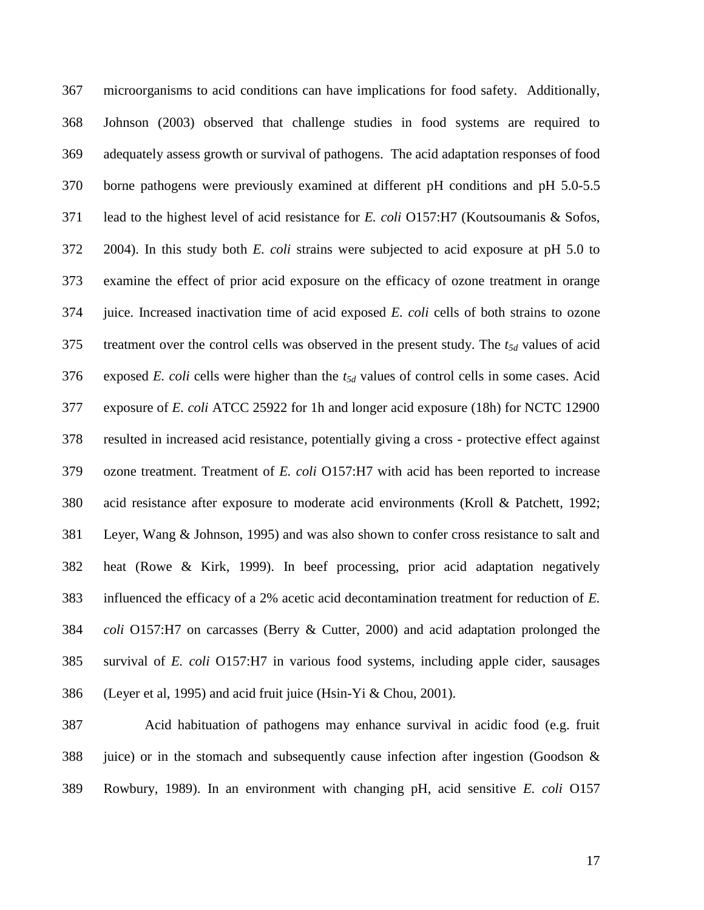microorganisms to acid conditions can have implications for food safety. Additionally, Johnson (2003) observed that challenge studies in food systems are required to adequately assess growth or survival of pathogens. The acid adaptation responses of food borne pathogens were previously examined at different pH conditions and pH 5.0-5.5 lead to the highest level of acid resistance for *E. coli* O157:H7 (Koutsoumanis & Sofos, 2004). In this study both *E. coli* strains were subjected to acid exposure at pH 5.0 to examine the effect of prior acid exposure on the efficacy of ozone treatment in orange juice. Increased inactivation time of acid exposed *E. coli* cells of both strains to ozone treatment over the control cells was observed in the present study. The *t5d* values of acid exposed *E. coli* cells were higher than the *t5d* values of control cells in some cases. Acid exposure of *E. coli* ATCC 25922 for 1h and longer acid exposure (18h) for NCTC 12900 resulted in increased acid resistance, potentially giving a cross - protective effect against ozone treatment. Treatment of *E. coli* O157:H7 with acid has been reported to increase acid resistance after exposure to moderate acid environments (Kroll & Patchett, 1992; Leyer, Wang & Johnson, 1995) and was also shown to confer cross resistance to salt and heat (Rowe & Kirk, 1999). In beef processing, prior acid adaptation negatively influenced the efficacy of a 2% acetic acid decontamination treatment for reduction of *E. coli* O157:H7 on carcasses (Berry & Cutter, 2000) and acid adaptation prolonged the survival of *E. coli* O157:H7 in various food systems, including apple cider, sausages (Leyer et al, 1995) and acid fruit juice (Hsin-Yi & Chou, 2001).

 Acid habituation of pathogens may enhance survival in acidic food (e.g. fruit 388 juice) or in the stomach and subsequently cause infection after ingestion (Goodson  $\&$ Rowbury, 1989). In an environment with changing pH, acid sensitive *E. coli* O157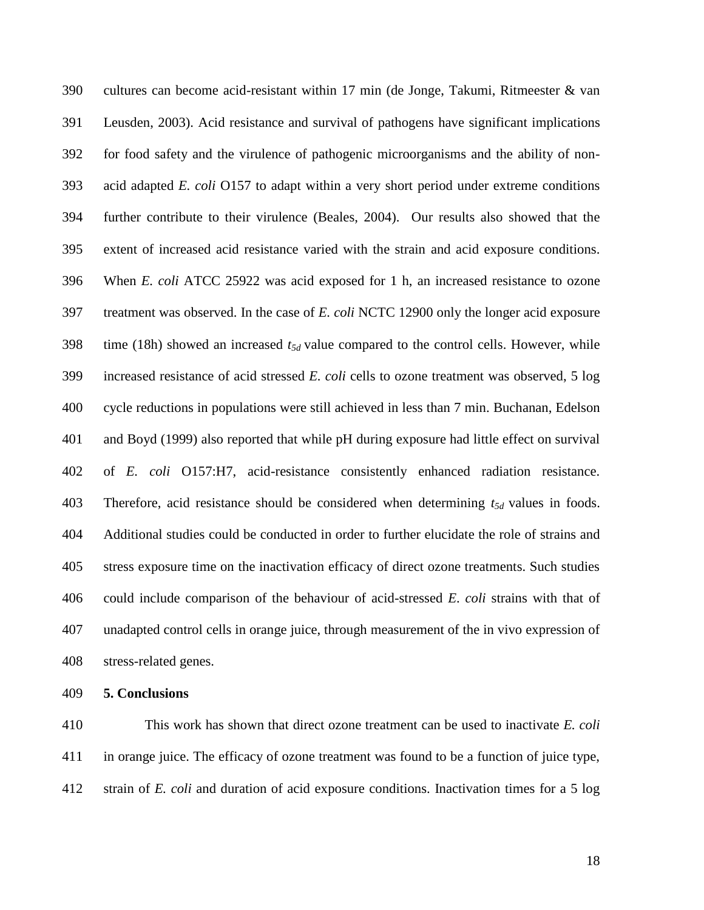cultures can become acid-resistant within 17 min (de Jonge, Takumi, Ritmeester & van Leusden, 2003). Acid resistance and survival of pathogens have significant implications for food safety and the virulence of pathogenic microorganisms and the ability of non- acid adapted *E. coli* O157 to adapt within a very short period under extreme conditions further contribute to their virulence (Beales, 2004). Our results also showed that the extent of increased acid resistance varied with the strain and acid exposure conditions. When *E. coli* ATCC 25922 was acid exposed for 1 h, an increased resistance to ozone treatment was observed. In the case of *E. coli* NCTC 12900 only the longer acid exposure time (18h) showed an increased *t5d* value compared to the control cells. However, while increased resistance of acid stressed *E. coli* cells to ozone treatment was observed, 5 log cycle reductions in populations were still achieved in less than 7 min. Buchanan, Edelson and Boyd (1999) also reported that while pH during exposure had little effect on survival of *E. coli* O157:H7, acid-resistance consistently enhanced radiation resistance. Therefore, acid resistance should be considered when determining *t5d* values in foods. Additional studies could be conducted in order to further elucidate the role of strains and stress exposure time on the inactivation efficacy of direct ozone treatments. Such studies could include comparison of the behaviour of acid-stressed *E*. *coli* strains with that of unadapted control cells in orange juice, through measurement of the in vivo expression of stress-related genes.

**5. Conclusions**

 This work has shown that direct ozone treatment can be used to inactivate *E. coli* in orange juice. The efficacy of ozone treatment was found to be a function of juice type, strain of *E. coli* and duration of acid exposure conditions. Inactivation times for a 5 log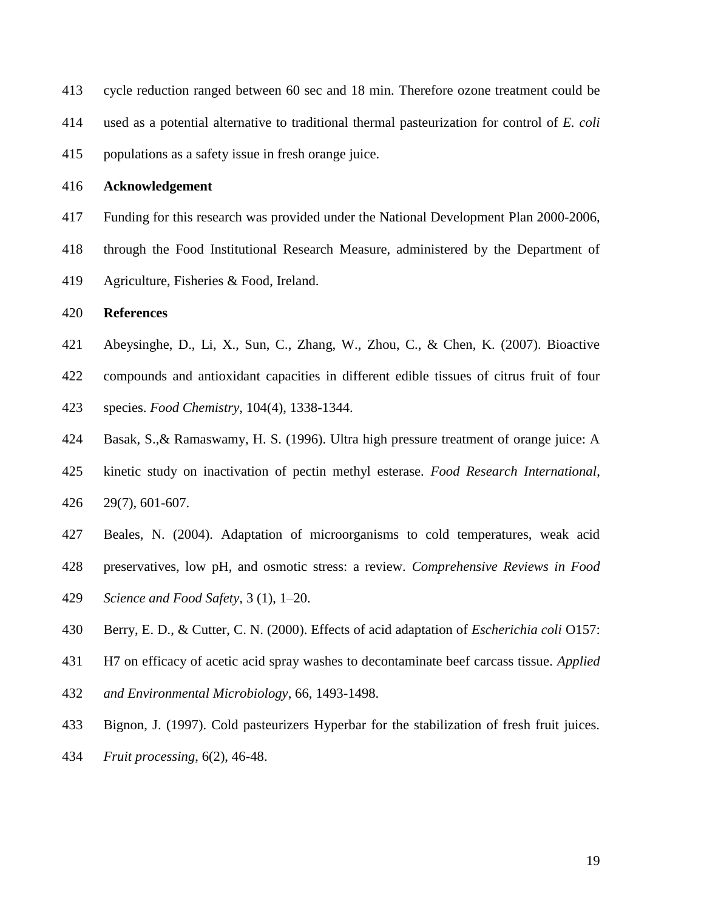| 413 | cycle reduction ranged between 60 sec and 18 min. Therefore ozone treatment could be         |
|-----|----------------------------------------------------------------------------------------------|
| 414 | used as a potential alternative to traditional thermal pasteurization for control of E. coli |
| 415 | populations as a safety issue in fresh orange juice.                                         |

#### **Acknowledgement**

- Funding for this research was provided under the National Development Plan 2000-2006,
- through the Food Institutional Research Measure, administered by the Department of
- Agriculture, Fisheries & Food, Ireland.

#### **References**

Abeysinghe, D., Li, X., Sun, C., Zhang, W., Zhou, C., & Chen, K. (2007). Bioactive

compounds and antioxidant capacities in different edible tissues of citrus fruit of four

- species. *Food Chemistry*, 104(4), 1338-1344.
- Basak, S.,& Ramaswamy, H. S. (1996). Ultra high pressure treatment of orange juice: A kinetic study on inactivation of pectin methyl esterase. *Food Research International*,

29(7), 601-607.

- Beales, N. (2004). Adaptation of microorganisms to cold temperatures, weak acid
- preservatives, low pH, and osmotic stress: a review. *Comprehensive Reviews in Food*
- *Science and Food Safety*, 3 (1), 1–20.
- Berry, E. D., & Cutter, C. N. (2000). Effects of acid adaptation of *Escherichia coli* O157:
- H7 on efficacy of acetic acid spray washes to decontaminate beef carcass tissue*. Applied*
- *and Environmental Microbiology*, 66, 1493-1498.
- Bignon, J. (1997). Cold pasteurizers Hyperbar for the stabilization of fresh fruit juices.
- *Fruit processing*, 6(2), 46-48.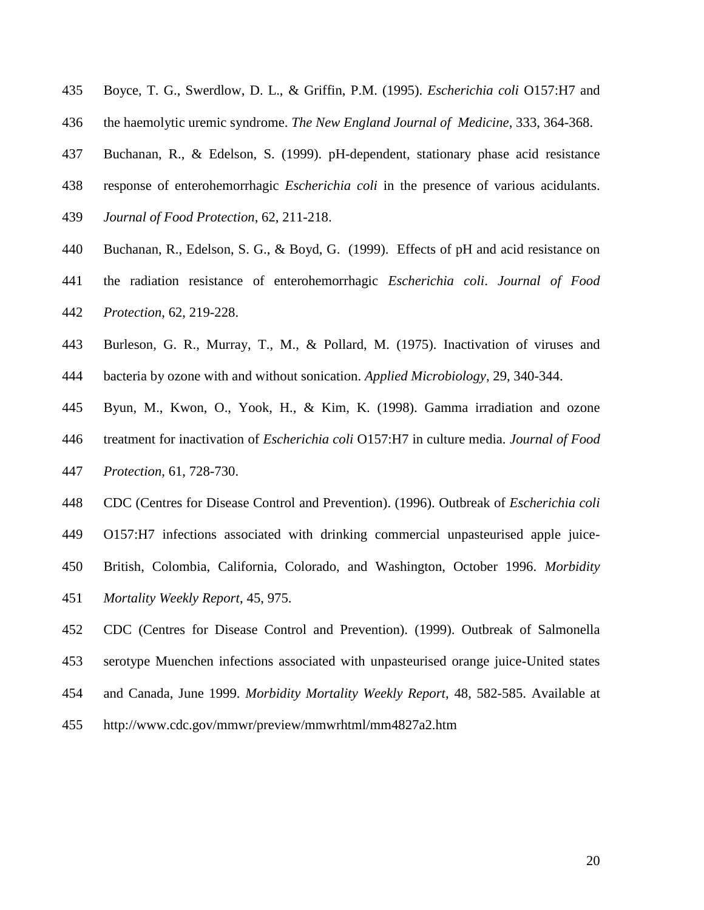- Boyce, T. G., Swerdlow, D. L., & Griffin, P.M. (1995). *Escherichia coli* O157:H7 and
- the haemolytic uremic syndrome. *The New England Journal of Medicine*, 333, 364-368.
- Buchanan, R., & Edelson, S. (1999). pH-dependent, stationary phase acid resistance
- response of enterohemorrhagic *Escherichia coli* in the presence of various acidulants.
- *Journal of Food Protection*, 62, 211-218.
- Buchanan, R., Edelson, S. G., & Boyd, G. (1999). Effects of pH and acid resistance on
- the radiation resistance of enterohemorrhagic *Escherichia coli*. *Journal of Food Protection*, 62, 219-228.
- Burleson, G. R., Murray, T., M., & Pollard, M. (1975). Inactivation of viruses and
- bacteria by ozone with and without sonication. *Applied Microbiology*, 29, 340-344.
- Byun, M., Kwon, O., Yook, H., & Kim, K. (1998). Gamma irradiation and ozone
- treatment for inactivation of *Escherichia coli* O157:H7 in culture media. *Journal of Food*
- *Protection*, 61, 728-730.
- CDC (Centres for Disease Control and Prevention). (1996). Outbreak of *Escherichia coli*
- O157:H7 infections associated with drinking commercial unpasteurised apple juice-
- British, Colombia, California, Colorado, and Washington, October 1996. *Morbidity*
- *Mortality Weekly Report*, 45, 975.
- CDC (Centres for Disease Control and Prevention). (1999). Outbreak of Salmonella
- serotype Muenchen infections associated with unpasteurised orange juice-United states
- and Canada, June 1999. *Morbidity Mortality Weekly Report*, 48, 582-585. Available at
- http://www.cdc.gov/mmwr/preview/mmwrhtml/mm4827a2.htm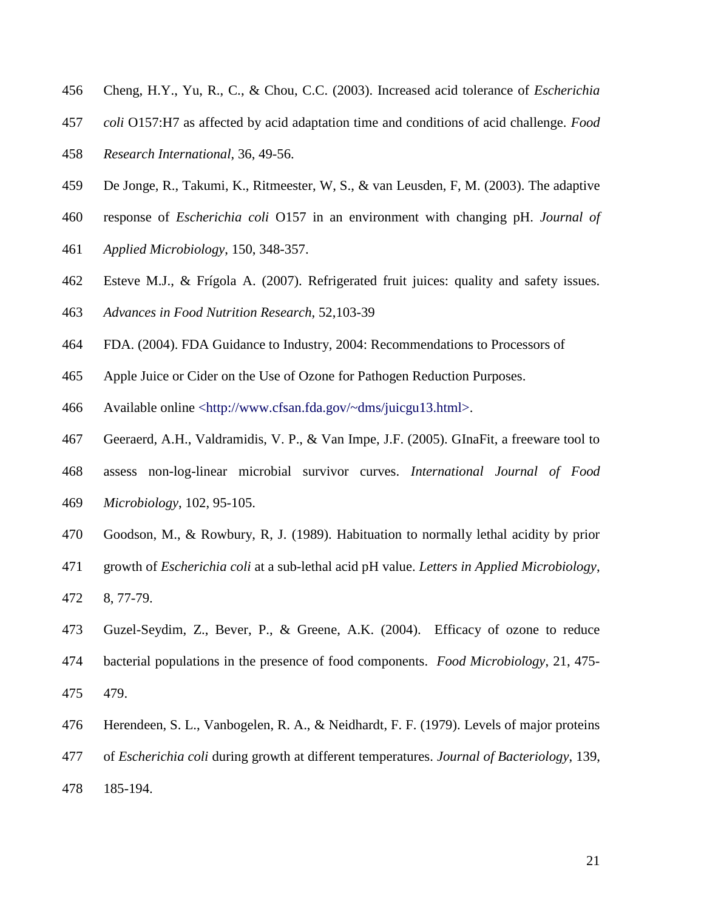- Cheng, H.Y., Yu, R., C., & Chou, C.C. (2003). Increased acid tolerance of *Escherichia*
- *coli* O157:H7 as affected by acid adaptation time and conditions of acid challenge. *Food*
- *Research International*, 36, 49-56.
- De Jonge, R., Takumi, K., Ritmeester, W, S., & van Leusden, F, M. (2003). The adaptive
- response of *Escherichia coli* O157 in an environment with changing pH. *Journal of*
- *Applied Microbiology*, 150, 348-357.
- Esteve M.J., & Frígola A. (2007). Refrigerated fruit juices: quality and safety issues.
- *[Advances in Food Nutrition Research](javascript:AL_get(this,%20)*, 52,103-39
- FDA. (2004). FDA Guidance to Industry, 2004: Recommendations to Processors of
- Apple Juice or Cider on the Use of Ozone for Pathogen Reduction Purposes.
- Available online <http://www.cfsan.fda.gov/~dms/juicgu13.html>.
- Geeraerd, A.H., Valdramidis, V. P., & Van Impe, J.F. (2005). GInaFit, a freeware tool to
- assess non-log-linear microbial survivor curves. *International Journal of Food Microbiology*, 102, 95-105.
- Goodson, M., & Rowbury, R, J. (1989). Habituation to normally lethal acidity by prior
- growth of *Escherichia coli* at a sub-lethal acid pH value. *Letters in Applied Microbiology*,
- 8, 77-79.
- Guzel-Seydim, Z., Bever, P., & Greene, A.K. (2004). Efficacy of ozone to reduce bacterial populations in the presence of food components. *Food Microbiology*, 21, 475- 479.
- Herendeen, S. L., Vanbogelen, R. A., & Neidhardt, F. F. (1979). Levels of major proteins
- of *Escherichia coli* during growth at different temperatures. *Journal of Bacteriology*, 139, 185-194.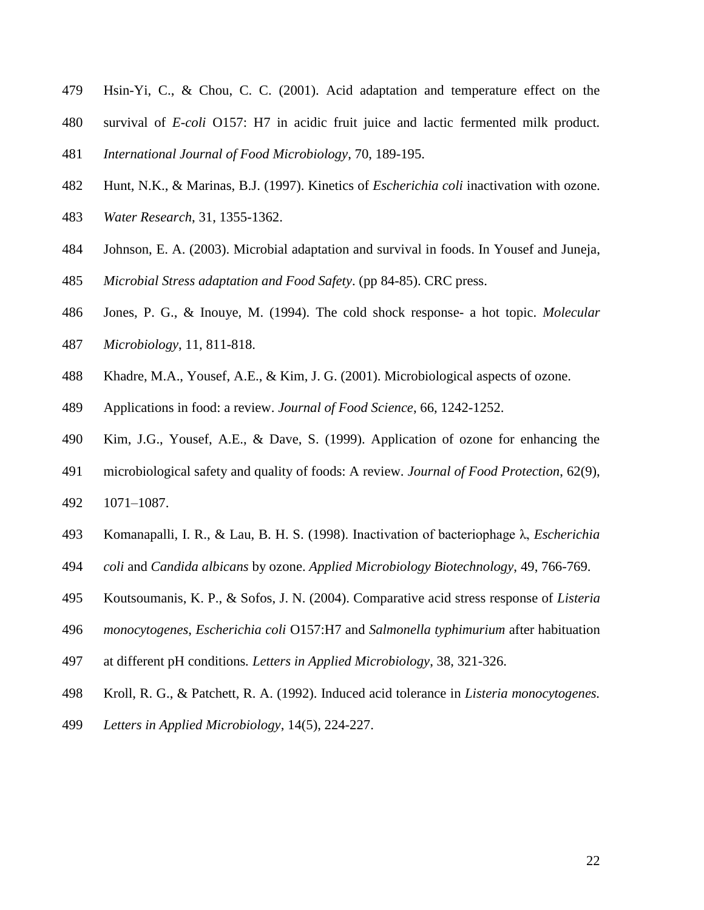- Hsin-Yi, C., & Chou, C. C. (2001). Acid adaptation and temperature effect on the
- survival of *E-coli* O157: H7 in acidic fruit juice and lactic fermented milk product*.*

*International Journal of Food Microbiology*, 70, 189-195.

- Hunt, N.K., & Marinas, B.J. (1997). Kinetics of *Escherichia coli* inactivation with ozone.
- *Water Research*, 31, 1355-1362.
- Johnson, E. A. (2003). Microbial adaptation and survival in foods. In Yousef and Juneja,
- *Microbial Stress adaptation and Food Safety*. (pp 84-85). CRC press.
- Jones, P. G., & Inouye, M. (1994). The cold shock response- a hot topic. *Molecular*
- *Microbiology*, 11, 811-818.
- Khadre, M.A., Yousef, A.E., & Kim, J. G. (2001). Microbiological aspects of ozone.
- Applications in food: a review. *Journal of Food Science*, 66, 1242-1252.
- Kim, J.G., Yousef, A.E., & Dave, S. (1999). Application of ozone for enhancing the
- microbiological safety and quality of foods: A review. *Journal of Food Protection*, 62(9),

1071–1087.

- Komanapalli, I. R., & Lau, B. H. S. (1998). Inactivation of bacteriophage λ, *Escherichia*
- *coli* and *Candida albicans* by ozone. *Applied Microbiology Biotechnology*, 49, 766-769.
- Koutsoumanis, K. P., & Sofos, J. N. (2004). Comparative acid stress response of *Listeria*
- *monocytogenes*, *Escherichia coli* O157:H7 and *Salmonella typhimurium* after habituation
- at different pH conditions*. Letters in Applied Microbiology*, 38, 321-326.
- Kroll, R. G., & Patchett, R. A. (1992). Induced acid tolerance in *Listeria monocytogenes.*
- *Letters in Applied Microbiology*, 14(5), 224-227.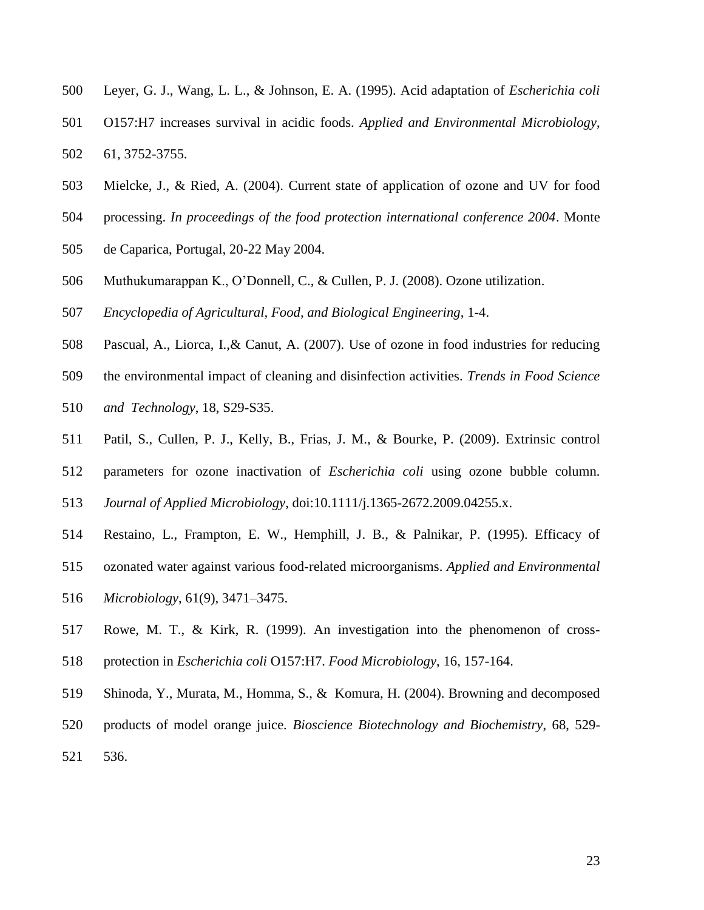- Leyer, G. J., Wang, L. L., & Johnson, E. A. (1995). Acid adaptation of *Escherichia coli*
- O157:H7 increases survival in acidic foods. *Applied and Environmental Microbiology*,
- 61, 3752-3755.
- Mielcke, J., & Ried, A. (2004). Current state of application of ozone and UV for food
- processing. *In proceedings of the food protection international conference 2004*. Monte
- de Caparica, Portugal, 20-22 May 2004.
- Muthukumarappan K., O'Donnell, C., & Cullen, P. J. (2008). Ozone utilization.
- *[Encyclopedia of Agricultural, Food, and Biological Engineering](http://www.informaworld.com/smpp/title~content=t713172957~db=all)*, 1-4.
- Pascual, A., Liorca, I.,& Canut, A. (2007). Use of ozone in food industries for reducing
- the environmental impact of cleaning and disinfection activities. *Trends in Food Science*
- *and Technology*, 18, S29-S35.
- Patil, S., Cullen, P. J., Kelly, B., Frias, J. M., & Bourke, P. (2009). Extrinsic control
- parameters for ozone inactivation of *Escherichia coli* using ozone bubble column.
- *Journal of Applied Microbiology*, doi:10.1111/j.1365-2672.2009.04255.x.
- Restaino, L., Frampton, E. W., Hemphill, J. B., & Palnikar, P. (1995). Efficacy of
- ozonated water against various food-related microorganisms. *Applied and Environmental*
- *Microbiology*, 61(9), 3471–3475.
- Rowe, M. T., & Kirk, R. (1999). An investigation into the phenomenon of cross-
- protection in *Escherichia coli* O157:H7. *Food Microbiology*, 16, 157-164.
- Shinoda, Y., Murata, M., Homma, S., & Komura, H. (2004). Browning and decomposed
- products of model orange juice*. Bioscience Biotechnology and Biochemistry*, 68, 529-
- 536.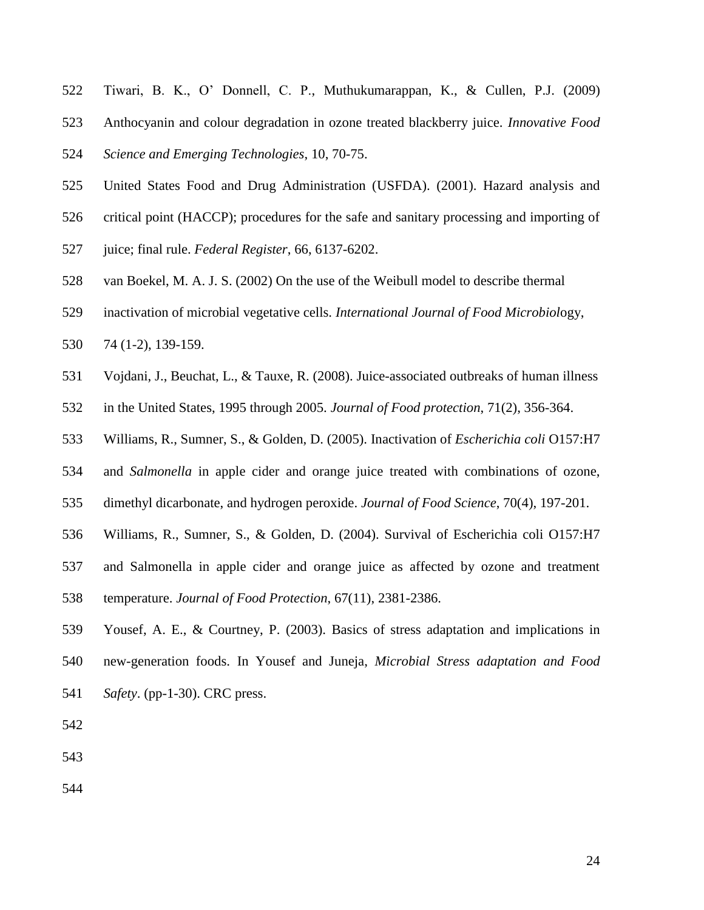- Tiwari, B. K., O' Donnell, C. P., Muthukumarappan, K., & Cullen, P.J. (2009)
- Anthocyanin and colour degradation in ozone treated blackberry juice. *Innovative Food*
- *Science and Emerging Technologies*, 10, 70-75.
- United States Food and Drug Administration (USFDA). (2001). Hazard analysis and
- critical point (HACCP); procedures for the safe and sanitary processing and importing of
- juice; final rule. *Federal Register*, 66, 6137-6202.
- van Boekel, M. A. J. S. (2002) On the use of the Weibull model to describe thermal
- inactivation of microbial vegetative cells. *International Journal of Food Microbiol*ogy,
- 74 (1-2), 139-159.
- Vojdani, J., Beuchat, L., & Tauxe, R. (2008). Juice-associated outbreaks of human illness
- in the United States, 1995 through 2005. *Journal of Food protection*, 71(2), 356-364.
- Williams, R., Sumner, S., & Golden, D. (2005). Inactivation of *Escherichia coli* O157:H7
- and *Salmonella* in apple cider and orange juice treated with combinations of ozone,
- dimethyl dicarbonate, and hydrogen peroxide. *Journal of Food Science*, 70(4), 197-201.
- Williams, R., Sumner, S., & Golden, D. (2004). Survival of Escherichia coli O157:H7
- and Salmonella in apple cider and orange juice as affected by ozone and treatment
- temperature. *Journal of Food Protection*, 67(11), 2381-2386.
- Yousef, A. E., & Courtney, P. (2003). Basics of stress adaptation and implications in new-generation foods. In Yousef and Juneja, *Microbial Stress adaptation and Food Safety*. (pp-1-30). CRC press.
- 
- 
-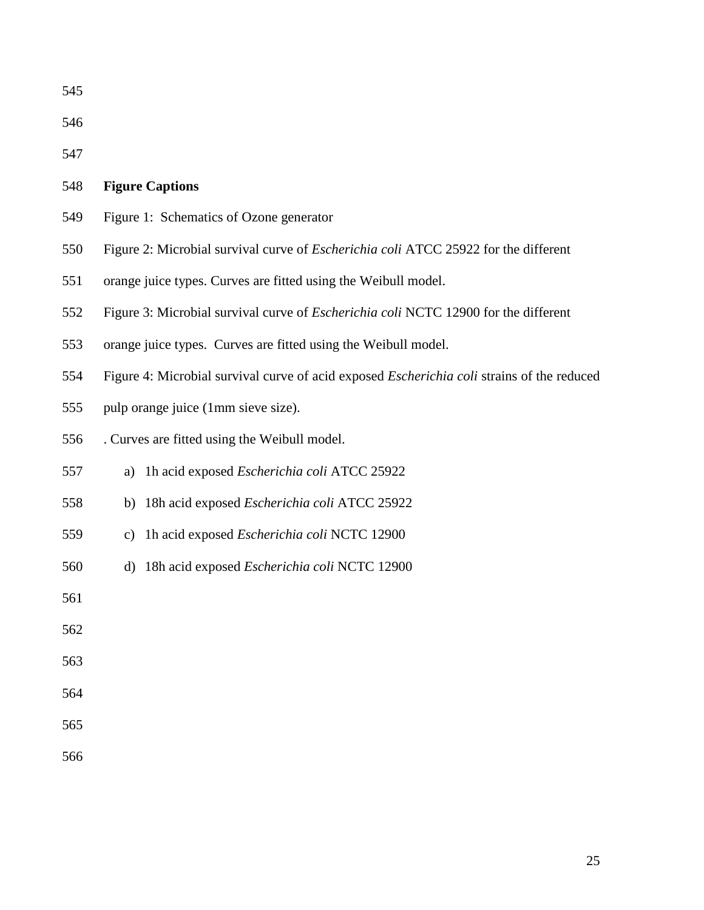| 548 |  | <b>Figure Captions</b> |
|-----|--|------------------------|
|-----|--|------------------------|

- Figure 1: Schematics of Ozone generator
- Figure 2: Microbial survival curve of *Escherichia coli* ATCC 25922 for the different
- orange juice types. Curves are fitted using the Weibull model.
- Figure 3: Microbial survival curve of *Escherichia coli* NCTC 12900 for the different
- orange juice types. Curves are fitted using the Weibull model.
- Figure 4: Microbial survival curve of acid exposed *Escherichia coli* strains of the reduced
- pulp orange juice (1mm sieve size).
- . Curves are fitted using the Weibull model.
- a) 1h acid exposed *Escherichia coli* ATCC 25922
- b) 18h acid exposed *Escherichia coli* ATCC 25922
- c) 1h acid exposed *Escherichia coli* NCTC 12900
- d) 18h acid exposed *Escherichia coli* NCTC 12900

- 
- 
- 
-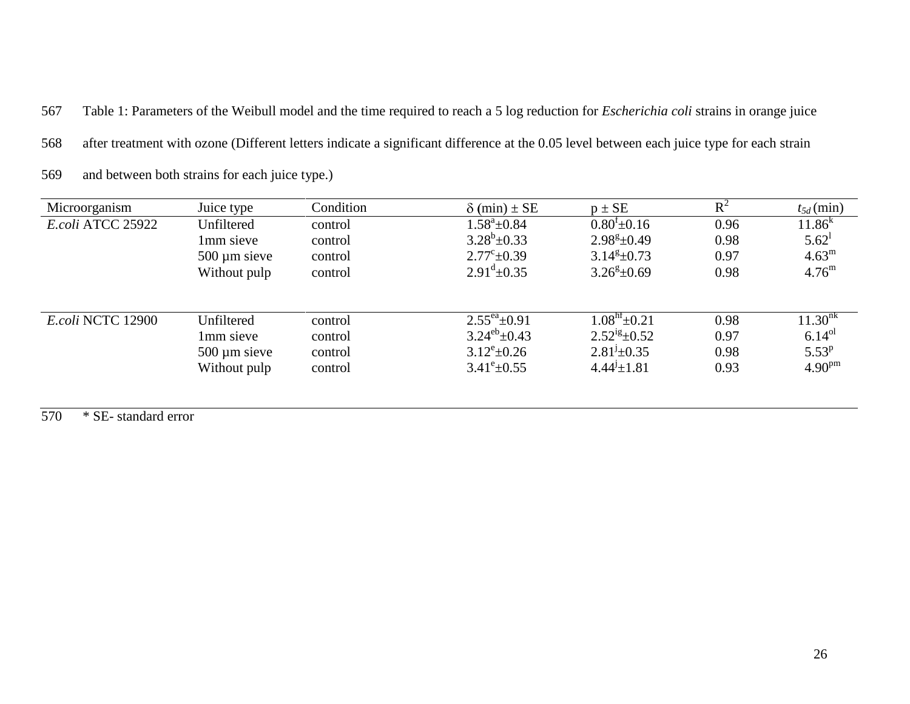567 Table 1: Parameters of the Weibull model and the time required to reach a 5 log reduction for *Escherichia coli* strains in orange juice

568 after treatment with ozone (Different letters indicate a significant difference at the 0.05 level between each juice type for each strain

569 and between both strains for each juice type.)

| Microorganism            | Juice type        | Condition | $\delta$ (min) $\pm$ SE    | $p \pm SE$                  | $R^2$ | $t_{5d}$ (min)     |
|--------------------------|-------------------|-----------|----------------------------|-----------------------------|-------|--------------------|
| E.coli ATCC 25922        | Unfiltered        | control   | $1.58^{\rm a}$ ±0.84       | $0.80^{\text{t}}\pm 0.16$   | 0.96  | $11.86^{k}$        |
|                          | 1mm sieve         | control   | $3.28^b \pm 0.33$          | $2.98^{\text{g}}\pm 0.49$   | 0.98  | $5.62^{\text{I}}$  |
|                          | $500 \mu m$ sieve | control   | $2.77^{\circ}$ ±0.39       | $3.14g \pm 0.73$            | 0.97  | $4.63^{\rm m}$     |
|                          | Without pulp      | control   | $2.91^{\text{d}} \pm 0.35$ | $3.26^{\text{g}}\pm 0.69$   | 0.98  | $4.76^{\rm m}$     |
| <i>E.coli</i> NCTC 12900 | Unfiltered        | control   | $2.55^{\text{ea}}\pm 0.91$ | $1.08^{\text{hf}} \pm 0.21$ | 0.98  | $11.30^{\rm nk}$   |
|                          | 1mm sieve         | control   | $3.24^{\rm eb} \pm 0.43$   | $2.52^{ig}+0.52$            | 0.97  | $6.14^{ol}$        |
|                          | $500 \mu m$ sieve | control   | $3.12^{\rm e}{\pm}0.26$    | $2.81^{j} \pm 0.35$         | 0.98  | $5.53^{p}$         |
|                          | Without pulp      | control   | $3.41^{\circ}$ ± 0.55      | $4.44^{j} \pm 1.81$         | 0.93  | 4.90 <sup>pm</sup> |
|                          |                   |           |                            |                             |       |                    |

570 \* SE- standard error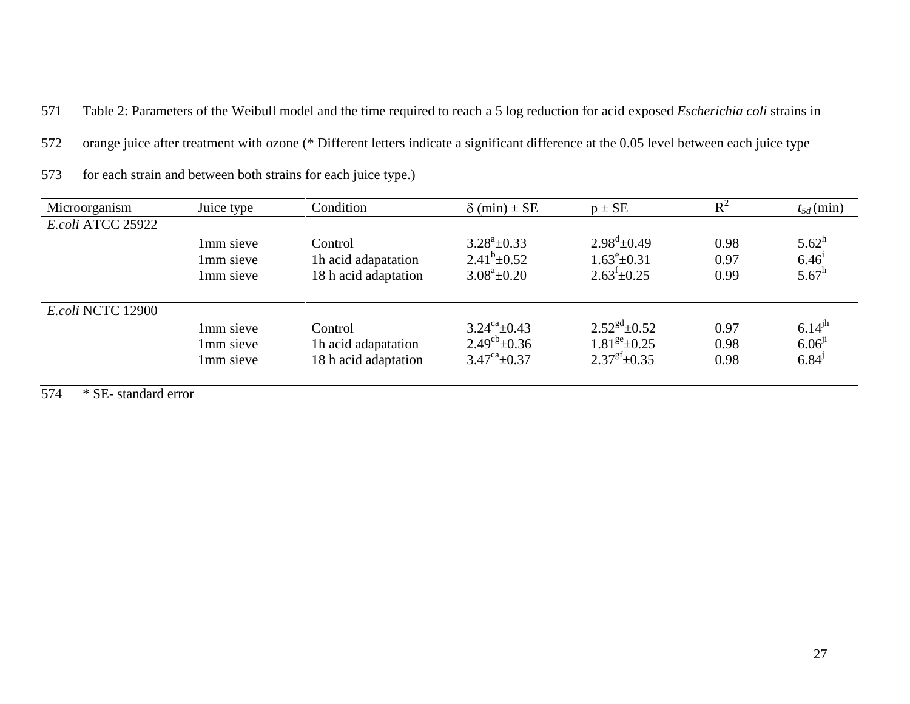571 Table 2: Parameters of the Weibull model and the time required to reach a 5 log reduction for acid exposed *Escherichia coli* strains in

572 orange juice after treatment with ozone (\* Different letters indicate a significant difference at the 0.05 level between each juice type

573 for each strain and between both strains for each juice type.)

| Microorganism            | Juice type | Condition            | $\delta$ (min) $\pm$ SE    | $p \pm SE$                 | $R^2$ | $t_{5d}$ (min) |
|--------------------------|------------|----------------------|----------------------------|----------------------------|-------|----------------|
| E.coli ATCC 25922        |            |                      |                            |                            |       |                |
|                          | 1mm sieve  | Control              | $3.28^a \pm 0.33$          | $2.98^{\rm d}$ ±0.49       | 0.98  | $5.62^h$       |
|                          | 1mm sieve  | 1h acid adapatation  | $2.41^b \pm 0.52$          | $1.63^{\rm e}$ ±0.31       | 0.97  | $6.46^{i}$     |
|                          | 1mm sieve  | 18 h acid adaptation | $3.08^a \pm 0.20$          | $2.63^{\mathrm{f}}\pm0.25$ | 0.99  | $5.67^h$       |
| <i>E.coli</i> NCTC 12900 |            |                      |                            |                            |       |                |
|                          | 1mm sieve  | Control              | $3.24^{\text{ca}}\pm 0.43$ | $2.52gd \pm 0.52$          | 0.97  | $6.14^{jh}$    |
|                          | 1mm sieve  | 1h acid adapatation  | $2.49^{\text{cb}}\pm 0.36$ | $1.81^{ge}$ ±0.25          | 0.98  | $6.06^{j}$     |
|                          | 1mm sieve  | 18 h acid adaptation | $3.47^{\text{ca}}\pm 0.37$ | $2.37^{gf}$ + 0.35         | 0.98  | $6.84^{j}$     |
|                          |            |                      |                            |                            |       |                |

574 \* SE- standard error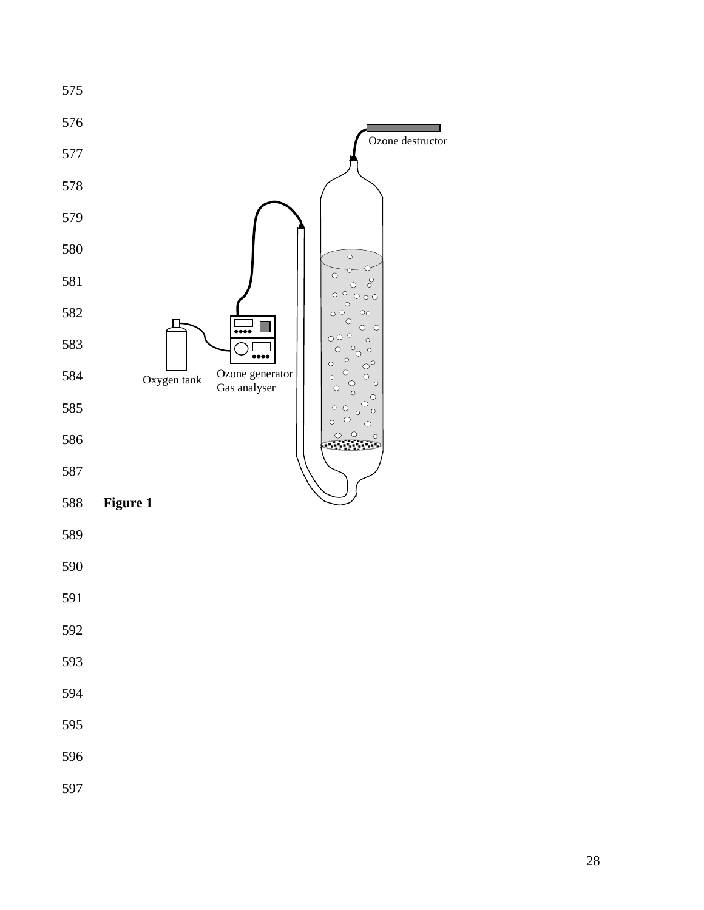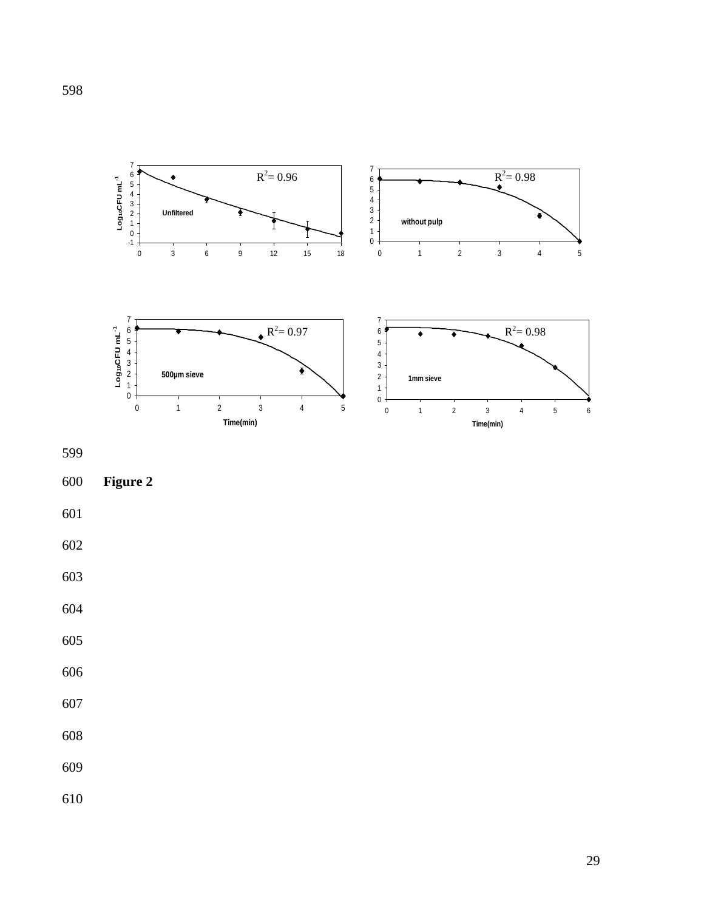



**Figure 2**

- 
- 

- 
-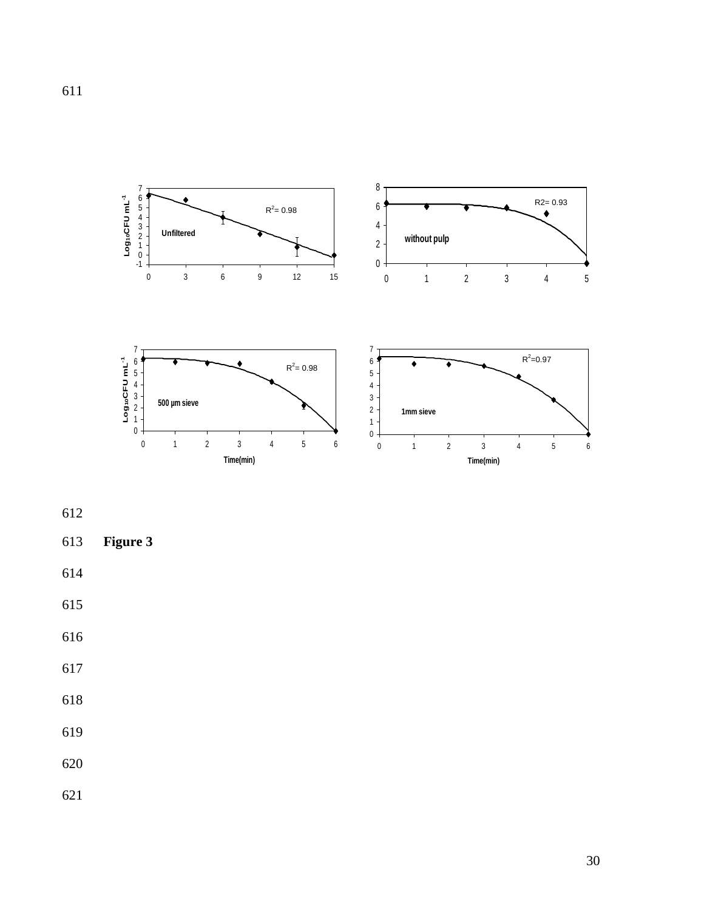

**Figure 3**